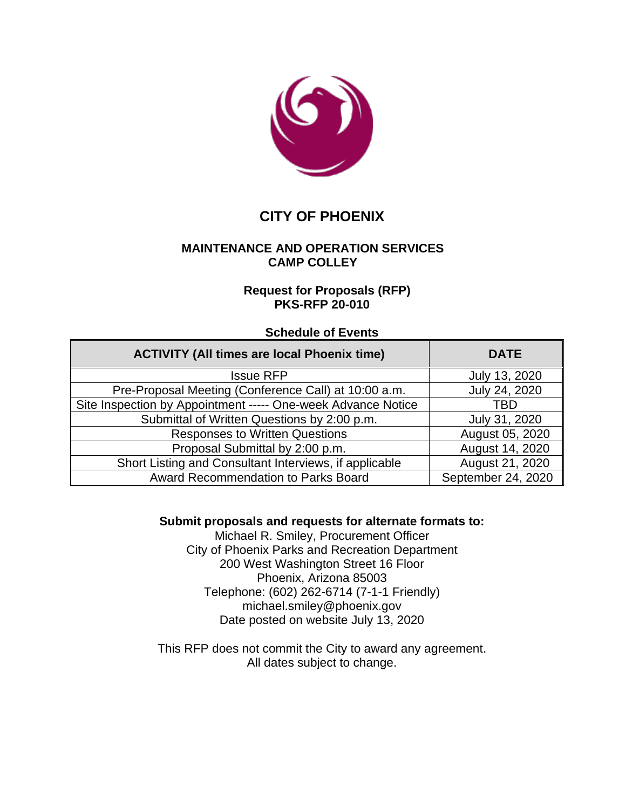

# **CITY OF PHOENIX**

## **MAINTENANCE AND OPERATION SERVICES CAMP COLLEY**

## **Request for Proposals (RFP) PKS-RFP 20-010**

### **Schedule of Events**

| <b>ACTIVITY (All times are local Phoenix time)</b>           | <b>DATE</b>        |
|--------------------------------------------------------------|--------------------|
| <b>Issue RFP</b>                                             | July 13, 2020      |
| Pre-Proposal Meeting (Conference Call) at 10:00 a.m.         | July 24, 2020      |
| Site Inspection by Appointment ----- One-week Advance Notice | TBD                |
| Submittal of Written Questions by 2:00 p.m.                  | July 31, 2020      |
| <b>Responses to Written Questions</b>                        | August 05, 2020    |
| Proposal Submittal by 2:00 p.m.                              | August 14, 2020    |
| Short Listing and Consultant Interviews, if applicable       | August 21, 2020    |
| Award Recommendation to Parks Board                          | September 24, 2020 |

### **Submit proposals and requests for alternate formats to:**

Michael R. Smiley, Procurement Officer City of Phoenix Parks and Recreation Department 200 West Washington Street 16 Floor Phoenix, Arizona 85003 Telephone: (602) 262-6714 (7-1-1 Friendly) michael.smiley@phoenix.gov Date posted on website July 13, 2020

This RFP does not commit the City to award any agreement. All dates subject to change.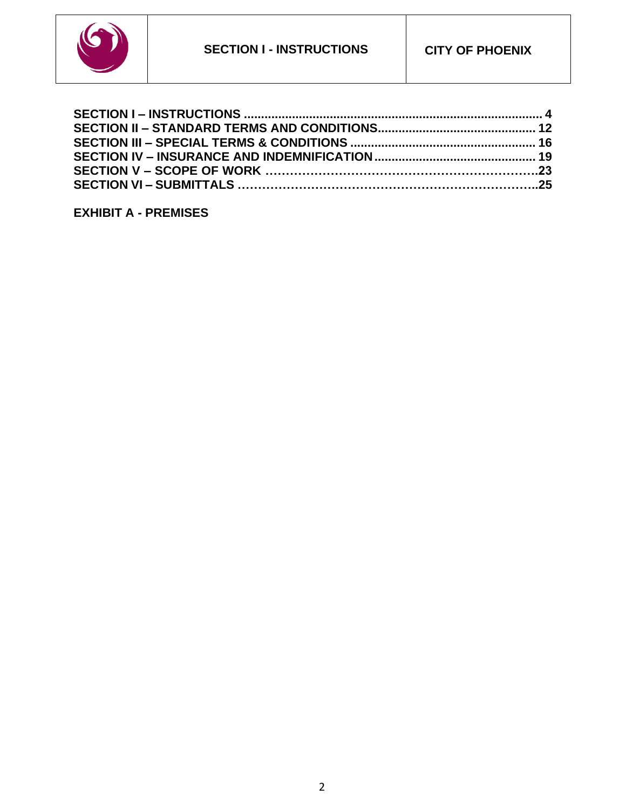

<span id="page-1-0"></span>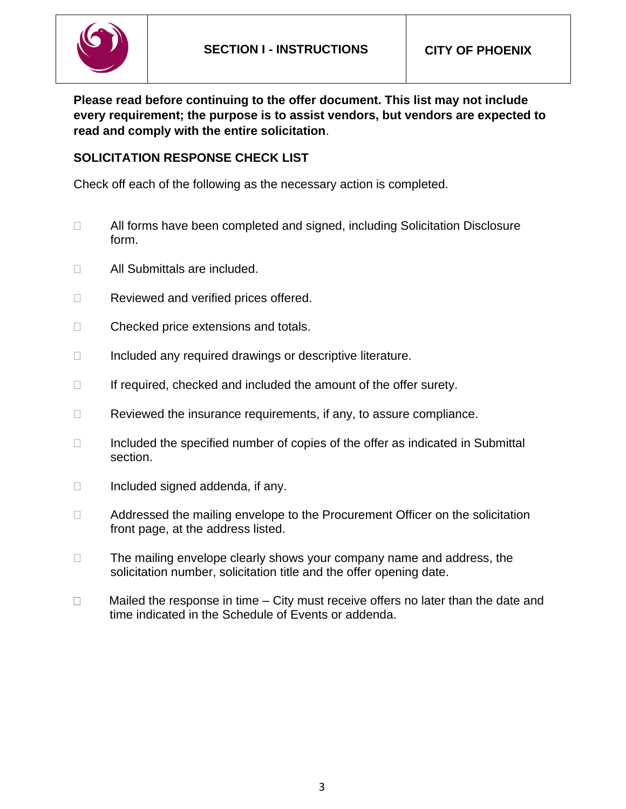

**Please read before continuing to the offer document. This list may not include every requirement; the purpose is to assist vendors, but vendors are expected to read and comply with the entire solicitation**.

## **SOLICITATION RESPONSE CHECK LIST**

Check off each of the following as the necessary action is completed.

- □ All forms have been completed and signed, including Solicitation Disclosure form.
- □ All Submittals are included.
- Reviewed and verified prices offered.
- □ Checked price extensions and totals.
- $\Box$  Included any required drawings or descriptive literature.
- $\Box$  If required, checked and included the amount of the offer surety.
- $\Box$  Reviewed the insurance requirements, if any, to assure compliance.
- $\Box$  Included the specified number of copies of the offer as indicated in Submittal section.
- $\Box$  Included signed addenda, if any.
- $\Box$  Addressed the mailing envelope to the Procurement Officer on the solicitation front page, at the address listed.
- $\Box$  The mailing envelope clearly shows your company name and address, the solicitation number, solicitation title and the offer opening date.
- □ Mailed the response in time City must receive offers no later than the date and time indicated in the Schedule of Events or addenda.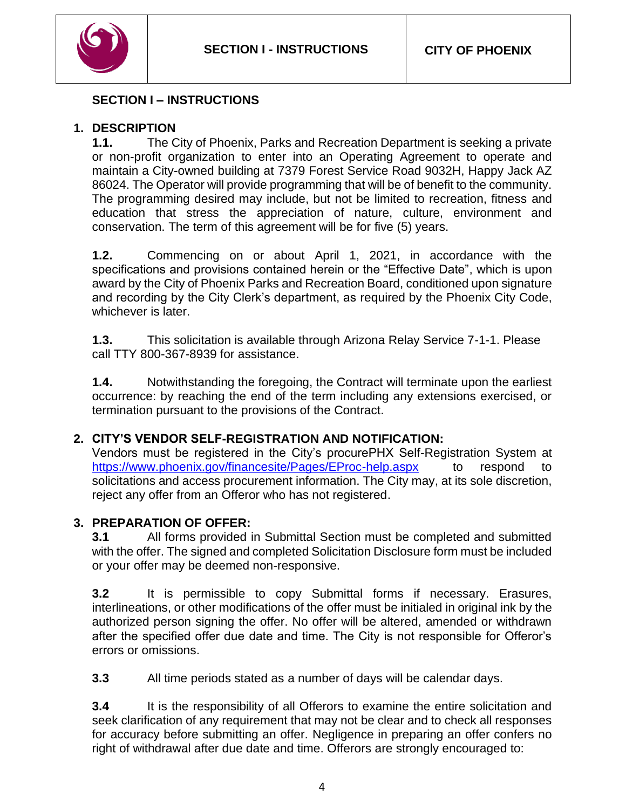

## **SECTION I – INSTRUCTIONS**

## **1. DESCRIPTION**

**1.1.** The City of Phoenix, Parks and Recreation Department is seeking a private or non-profit organization to enter into an Operating Agreement to operate and maintain a City-owned building at [7379 Forest Service Road 9032H, Happy Jack AZ](https://goo.gl/maps/vYvNUYyxUwE2)  [86024.](https://goo.gl/maps/vYvNUYyxUwE2) The Operator will provide programming that will be of benefit to the community. The programming desired may include, but not be limited to recreation, fitness and education that stress the appreciation of nature, culture, environment and conservation. The term of this agreement will be for five (5) years.

**1.2.** Commencing on or about April 1, 2021, in accordance with the specifications and provisions contained herein or the "Effective Date", which is upon award by the City of Phoenix Parks and Recreation Board, conditioned upon signature and recording by the City Clerk's department, as required by the Phoenix City Code, whichever is later.

**1.3.** This solicitation is available through Arizona Relay Service 7-1-1. Please call TTY 800-367-8939 for assistance.

**1.4.** Notwithstanding the foregoing, the Contract will terminate upon the earliest occurrence: by reaching the end of the term including any extensions exercised, or termination pursuant to the provisions of the Contract.

### **2. CITY'S VENDOR SELF-REGISTRATION AND NOTIFICATION:**

Vendors must be registered in the City's procurePHX Self-Registration System at <https://www.phoenix.gov/financesite/Pages/EProc-help.aspx>to respond to solicitations and access procurement information. The City may, at its sole discretion, reject any offer from an Offeror who has not registered.

### **3. PREPARATION OF OFFER:**

**3.1** All forms provided in Submittal Section must be completed and submitted with the offer. The signed and completed Solicitation Disclosure form must be included or your offer may be deemed non-responsive.

**3.2** It is permissible to copy Submittal forms if necessary. Erasures, interlineations, or other modifications of the offer must be initialed in original ink by the authorized person signing the offer. No offer will be altered, amended or withdrawn after the specified offer due date and time. The City is not responsible for Offeror's errors or omissions.

**3.3** All time periods stated as a number of days will be calendar days.

**3.4** It is the responsibility of all Offerors to examine the entire solicitation and seek clarification of any requirement that may not be clear and to check all responses for accuracy before submitting an offer. Negligence in preparing an offer confers no right of withdrawal after due date and time. Offerors are strongly encouraged to: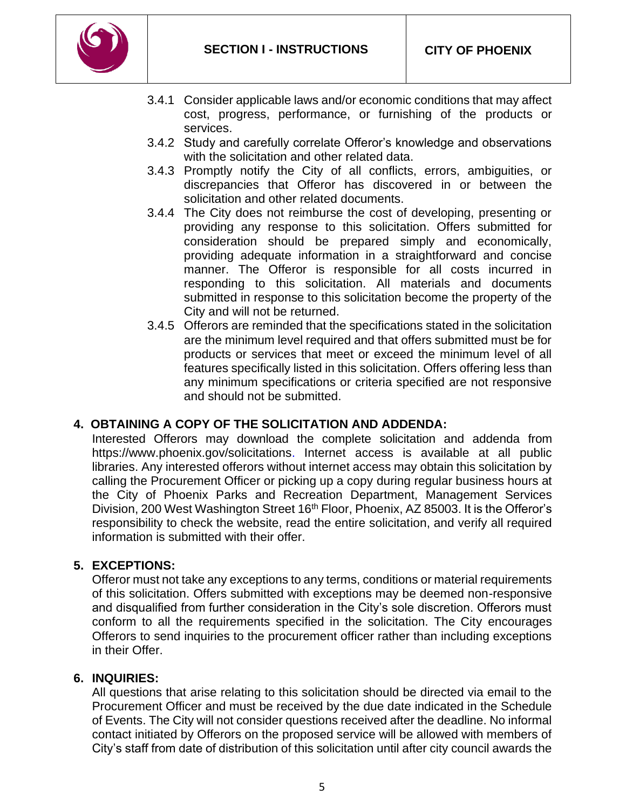

- 3.4.1 Consider applicable laws and/or economic conditions that may affect cost, progress, performance, or furnishing of the products or services.
- 3.4.2 Study and carefully correlate Offeror's knowledge and observations with the solicitation and other related data.
- 3.4.3 Promptly notify the City of all conflicts, errors, ambiguities, or discrepancies that Offeror has discovered in or between the solicitation and other related documents.
- 3.4.4 The City does not reimburse the cost of developing, presenting or providing any response to this solicitation. Offers submitted for consideration should be prepared simply and economically, providing adequate information in a straightforward and concise manner. The Offeror is responsible for all costs incurred in responding to this solicitation. All materials and documents submitted in response to this solicitation become the property of the City and will not be returned.
- 3.4.5 Offerors are reminded that the specifications stated in the solicitation are the minimum level required and that offers submitted must be for products or services that meet or exceed the minimum level of all features specifically listed in this solicitation. Offers offering less than any minimum specifications or criteria specified are not responsive and should not be submitted.

## **4. OBTAINING A COPY OF THE SOLICITATION AND ADDENDA:**

Interested Offerors may download the complete solicitation and addenda from https://www.phoenix.gov/solicitations. Internet access is available at all public libraries. Any interested offerors without internet access may obtain this solicitation by calling the Procurement Officer or picking up a copy during regular business hours at the City of Phoenix Parks and Recreation Department, Management Services Division, 200 West Washington Street 16<sup>th</sup> Floor, Phoenix, AZ 85003. It is the Offeror's responsibility to check the website, read the entire solicitation, and verify all required information is submitted with their offer.

### **5. EXCEPTIONS:**

Offeror must not take any exceptions to any terms, conditions or material requirements of this solicitation. Offers submitted with exceptions may be deemed non-responsive and disqualified from further consideration in the City's sole discretion. Offerors must conform to all the requirements specified in the solicitation. The City encourages Offerors to send inquiries to the procurement officer rather than including exceptions in their Offer.

### **6. INQUIRIES:**

All questions that arise relating to this solicitation should be directed via email to the Procurement Officer and must be received by the due date indicated in the Schedule of Events. The City will not consider questions received after the deadline. No informal contact initiated by Offerors on the proposed service will be allowed with members of City's staff from date of distribution of this solicitation until after city council awards the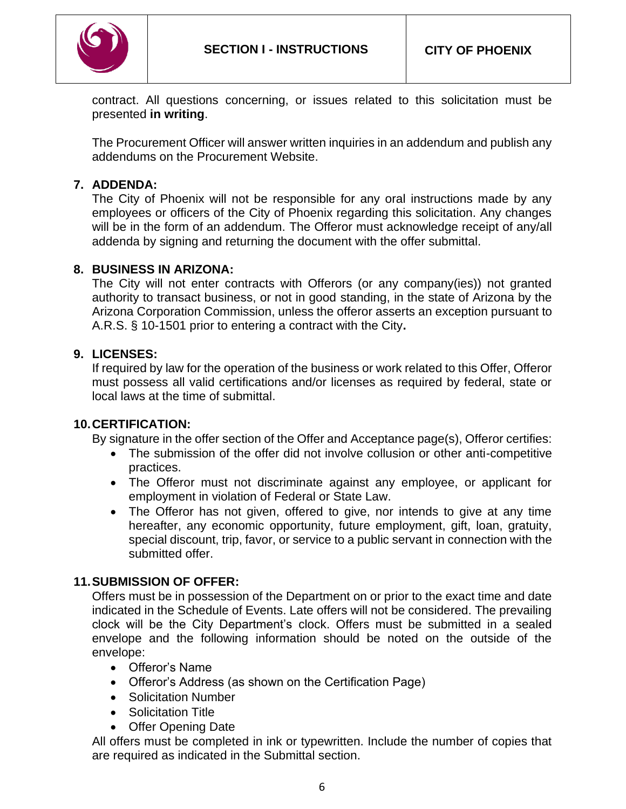

contract. All questions concerning, or issues related to this solicitation must be presented **in writing**.

The Procurement Officer will answer written inquiries in an addendum and publish any addendums on the Procurement Website.

## **7. ADDENDA:**

The City of Phoenix will not be responsible for any oral instructions made by any employees or officers of the City of Phoenix regarding this solicitation. Any changes will be in the form of an addendum. The Offeror must acknowledge receipt of any/all addenda by signing and returning the document with the offer submittal.

### **8. BUSINESS IN ARIZONA:**

The City will not enter contracts with Offerors (or any company(ies)) not granted authority to transact business, or not in good standing, in the state of Arizona by the Arizona Corporation Commission, unless the offeror asserts an exception pursuant to A.R.S. § 10-1501 prior to entering a contract with the City**.**

### **9. LICENSES:**

If required by law for the operation of the business or work related to this Offer, Offeror must possess all valid certifications and/or licenses as required by federal, state or local laws at the time of submittal.

### **10.CERTIFICATION:**

By signature in the offer section of the Offer and Acceptance page(s), Offeror certifies:

- The submission of the offer did not involve collusion or other anti-competitive practices.
- The Offeror must not discriminate against any employee, or applicant for employment in violation of Federal or State Law.
- The Offeror has not given, offered to give, nor intends to give at any time hereafter, any economic opportunity, future employment, gift, loan, gratuity, special discount, trip, favor, or service to a public servant in connection with the submitted offer.

### **11.SUBMISSION OF OFFER:**

Offers must be in possession of the Department on or prior to the exact time and date indicated in the Schedule of Events. Late offers will not be considered. The prevailing clock will be the City Department's clock. Offers must be submitted in a sealed envelope and the following information should be noted on the outside of the envelope:

- Offeror's Name
- Offeror's Address (as shown on the Certification Page)
- Solicitation Number
- Solicitation Title
- Offer Opening Date

All offers must be completed in ink or typewritten. Include the number of copies that are required as indicated in the Submittal section.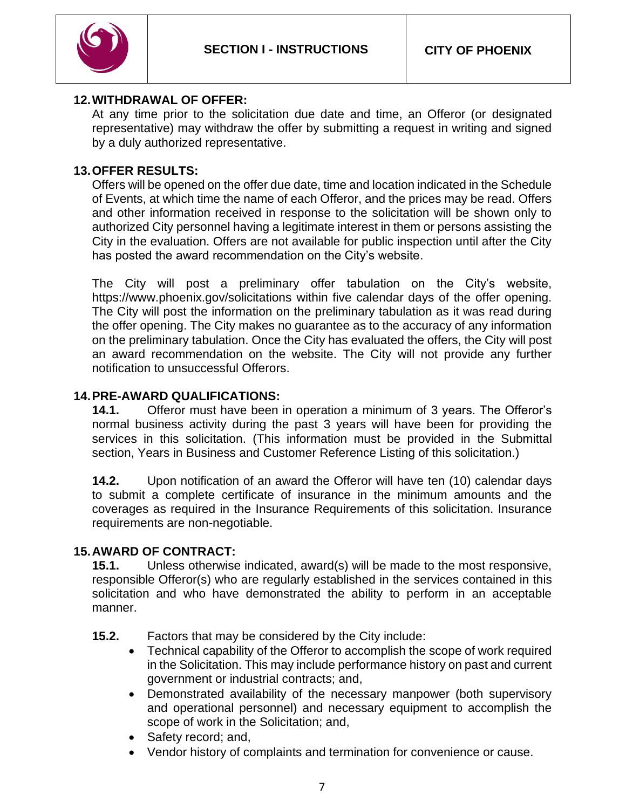

## **12.WITHDRAWAL OF OFFER:**

At any time prior to the solicitation due date and time, an Offeror (or designated representative) may withdraw the offer by submitting a request in writing and signed by a duly authorized representative.

## **13.OFFER RESULTS:**

Offers will be opened on the offer due date, time and location indicated in the Schedule of Events, at which time the name of each Offeror, and the prices may be read. Offers and other information received in response to the solicitation will be shown only to authorized City personnel having a legitimate interest in them or persons assisting the City in the evaluation. Offers are not available for public inspection until after the City has posted the award recommendation on the City's website.

The City will post a preliminary offer tabulation on the City's website, https://www.phoenix.gov/solicitations within five calendar days of the offer opening. The City will post the information on the preliminary tabulation as it was read during the offer opening. The City makes no guarantee as to the accuracy of any information on the preliminary tabulation. Once the City has evaluated the offers, the City will post an award recommendation on the website. The City will not provide any further notification to unsuccessful Offerors.

## **14.PRE-AWARD QUALIFICATIONS:**

**14.1.** Offeror must have been in operation a minimum of 3 years. The Offeror's normal business activity during the past 3 years will have been for providing the services in this solicitation. (This information must be provided in the Submittal section, Years in Business and Customer Reference Listing of this solicitation.)

**14.2.** Upon notification of an award the Offeror will have ten (10) calendar days to submit a complete certificate of insurance in the minimum amounts and the coverages as required in the Insurance Requirements of this solicitation. Insurance requirements are non-negotiable.

## **15.AWARD OF CONTRACT:**

**15.1.** Unless otherwise indicated, award(s) will be made to the most responsive, responsible Offeror(s) who are regularly established in the services contained in this solicitation and who have demonstrated the ability to perform in an acceptable manner.

- **15.2.** Factors that may be considered by the City include:
	- Technical capability of the Offeror to accomplish the scope of work required in the Solicitation. This may include performance history on past and current government or industrial contracts; and,
	- Demonstrated availability of the necessary manpower (both supervisory and operational personnel) and necessary equipment to accomplish the scope of work in the Solicitation; and,
	- Safety record; and,
	- Vendor history of complaints and termination for convenience or cause.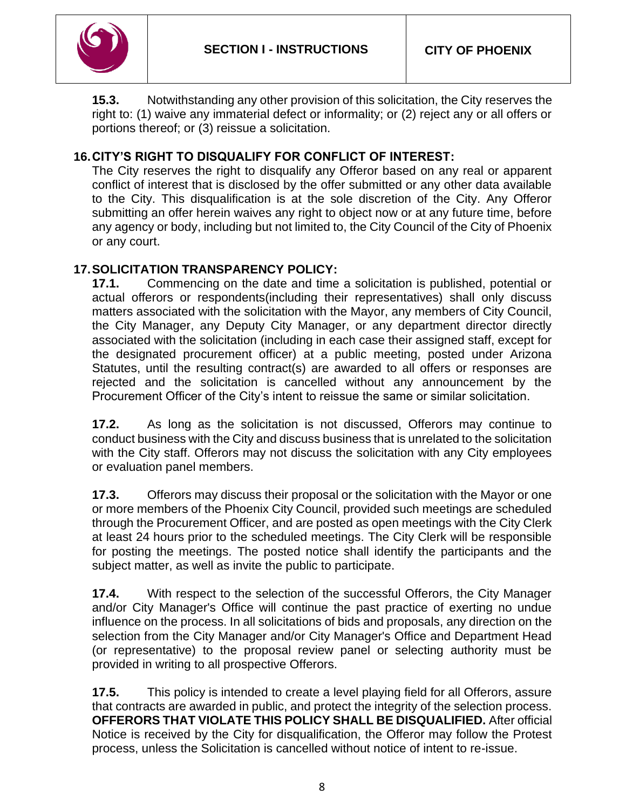

**15.3.** Notwithstanding any other provision of this solicitation, the City reserves the right to: (1) waive any immaterial defect or informality; or (2) reject any or all offers or portions thereof; or (3) reissue a solicitation.

## **16.CITY'S RIGHT TO DISQUALIFY FOR CONFLICT OF INTEREST:**

The City reserves the right to disqualify any Offeror based on any real or apparent conflict of interest that is disclosed by the offer submitted or any other data available to the City. This disqualification is at the sole discretion of the City. Any Offeror submitting an offer herein waives any right to object now or at any future time, before any agency or body, including but not limited to, the City Council of the City of Phoenix or any court.

## **17.SOLICITATION TRANSPARENCY POLICY:**

**17.1.** Commencing on the date and time a solicitation is published, potential or actual offerors or respondents(including their representatives) shall only discuss matters associated with the solicitation with the Mayor, any members of City Council, the City Manager, any Deputy City Manager, or any department director directly associated with the solicitation (including in each case their assigned staff, except for the designated procurement officer) at a public meeting, posted under Arizona Statutes, until the resulting contract(s) are awarded to all offers or responses are rejected and the solicitation is cancelled without any announcement by the Procurement Officer of the City's intent to reissue the same or similar solicitation.

**17.2.** As long as the solicitation is not discussed, Offerors may continue to conduct business with the City and discuss business that is unrelated to the solicitation with the City staff. Offerors may not discuss the solicitation with any City employees or evaluation panel members.

**17.3.** Offerors may discuss their proposal or the solicitation with the Mayor or one or more members of the Phoenix City Council, provided such meetings are scheduled through the Procurement Officer, and are posted as open meetings with the City Clerk at least 24 hours prior to the scheduled meetings. The City Clerk will be responsible for posting the meetings. The posted notice shall identify the participants and the subject matter, as well as invite the public to participate.

**17.4.** With respect to the selection of the successful Offerors, the City Manager and/or City Manager's Office will continue the past practice of exerting no undue influence on the process. In all solicitations of bids and proposals, any direction on the selection from the City Manager and/or City Manager's Office and Department Head (or representative) to the proposal review panel or selecting authority must be provided in writing to all prospective Offerors.

**17.5.** This policy is intended to create a level playing field for all Offerors, assure that contracts are awarded in public, and protect the integrity of the selection process. **OFFERORS THAT VIOLATE THIS POLICY SHALL BE DISQUALIFIED.** After official Notice is received by the City for disqualification, the Offeror may follow the Protest process, unless the Solicitation is cancelled without notice of intent to re-issue.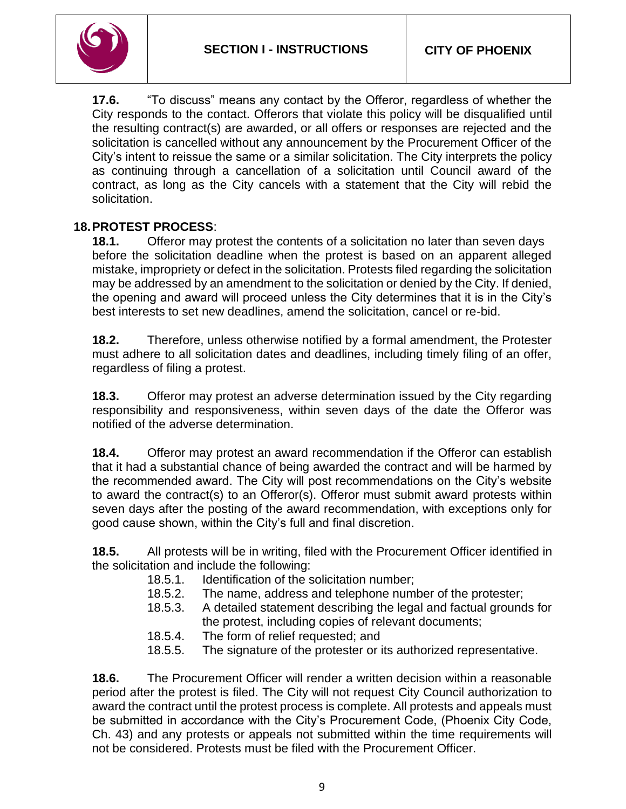

**17.6.** "To discuss" means any contact by the Offeror, regardless of whether the City responds to the contact. Offerors that violate this policy will be disqualified until the resulting contract(s) are awarded, or all offers or responses are rejected and the solicitation is cancelled without any announcement by the Procurement Officer of the City's intent to reissue the same or a similar solicitation. The City interprets the policy as continuing through a cancellation of a solicitation until Council award of the contract, as long as the City cancels with a statement that the City will rebid the solicitation.

## **18.PROTEST PROCESS**:

**18.1.** Offeror may protest the contents of a solicitation no later than seven days before the solicitation deadline when the protest is based on an apparent alleged mistake, impropriety or defect in the solicitation. Protests filed regarding the solicitation may be addressed by an amendment to the solicitation or denied by the City. If denied, the opening and award will proceed unless the City determines that it is in the City's best interests to set new deadlines, amend the solicitation, cancel or re-bid.

**18.2.** Therefore, unless otherwise notified by a formal amendment, the Protester must adhere to all solicitation dates and deadlines, including timely filing of an offer, regardless of filing a protest.

**18.3.** Offeror may protest an adverse determination issued by the City regarding responsibility and responsiveness, within seven days of the date the Offeror was notified of the adverse determination.

**18.4.** Offeror may protest an award recommendation if the Offeror can establish that it had a substantial chance of being awarded the contract and will be harmed by the recommended award. The City will post recommendations on the City's website to award the contract(s) to an Offeror(s). Offeror must submit award protests within seven days after the posting of the award recommendation, with exceptions only for good cause shown, within the City's full and final discretion.

**18.5.** All protests will be in writing, filed with the Procurement Officer identified in the solicitation and include the following:

- 18.5.1. Identification of the solicitation number;
- 18.5.2. The name, address and telephone number of the protester;
- 18.5.3. A detailed statement describing the legal and factual grounds for the protest, including copies of relevant documents;
- 18.5.4. The form of relief requested; and
- 18.5.5. The signature of the protester or its authorized representative.

**18.6.** The Procurement Officer will render a written decision within a reasonable period after the protest is filed. The City will not request City Council authorization to award the contract until the protest process is complete. All protests and appeals must be submitted in accordance with the City's Procurement Code, (Phoenix City Code, Ch. 43) and any protests or appeals not submitted within the time requirements will not be considered. Protests must be filed with the Procurement Officer.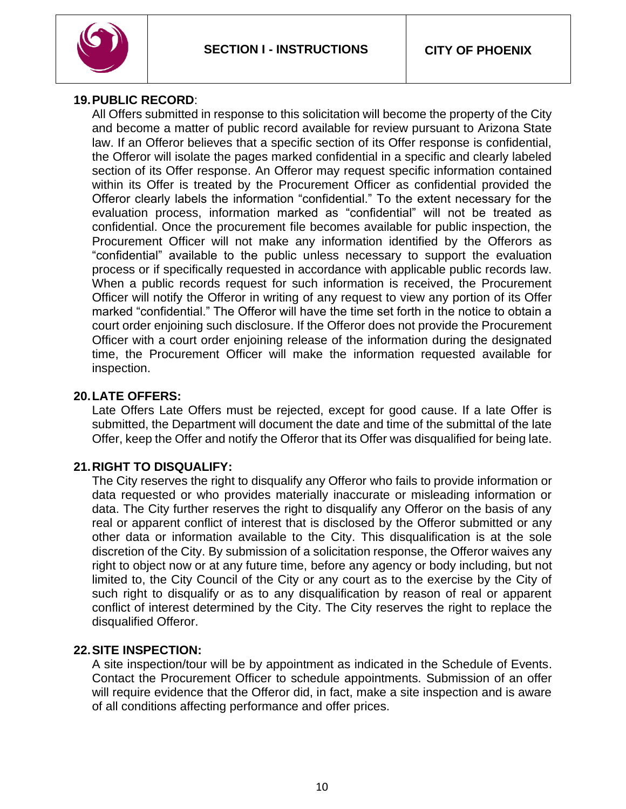

## **19.PUBLIC RECORD**:

All Offers submitted in response to this solicitation will become the property of the City and become a matter of public record available for review pursuant to Arizona State law. If an Offeror believes that a specific section of its Offer response is confidential, the Offeror will isolate the pages marked confidential in a specific and clearly labeled section of its Offer response. An Offeror may request specific information contained within its Offer is treated by the Procurement Officer as confidential provided the Offeror clearly labels the information "confidential." To the extent necessary for the evaluation process, information marked as "confidential" will not be treated as confidential. Once the procurement file becomes available for public inspection, the Procurement Officer will not make any information identified by the Offerors as "confidential" available to the public unless necessary to support the evaluation process or if specifically requested in accordance with applicable public records law. When a public records request for such information is received, the Procurement Officer will notify the Offeror in writing of any request to view any portion of its Offer marked "confidential." The Offeror will have the time set forth in the notice to obtain a court order enjoining such disclosure. If the Offeror does not provide the Procurement Officer with a court order enjoining release of the information during the designated time, the Procurement Officer will make the information requested available for inspection.

#### **20.LATE OFFERS:**

Late Offers Late Offers must be rejected, except for good cause. If a late Offer is submitted, the Department will document the date and time of the submittal of the late Offer, keep the Offer and notify the Offeror that its Offer was disqualified for being late.

### **21.RIGHT TO DISQUALIFY:**

The City reserves the right to disqualify any Offeror who fails to provide information or data requested or who provides materially inaccurate or misleading information or data. The City further reserves the right to disqualify any Offeror on the basis of any real or apparent conflict of interest that is disclosed by the Offeror submitted or any other data or information available to the City. This disqualification is at the sole discretion of the City. By submission of a solicitation response, the Offeror waives any right to object now or at any future time, before any agency or body including, but not limited to, the City Council of the City or any court as to the exercise by the City of such right to disqualify or as to any disqualification by reason of real or apparent conflict of interest determined by the City. The City reserves the right to replace the disqualified Offeror.

#### **22.SITE INSPECTION:**

A site inspection/tour will be by appointment as indicated in the Schedule of Events. Contact the Procurement Officer to schedule appointments. Submission of an offer will require evidence that the Offeror did, in fact, make a site inspection and is aware of all conditions affecting performance and offer prices.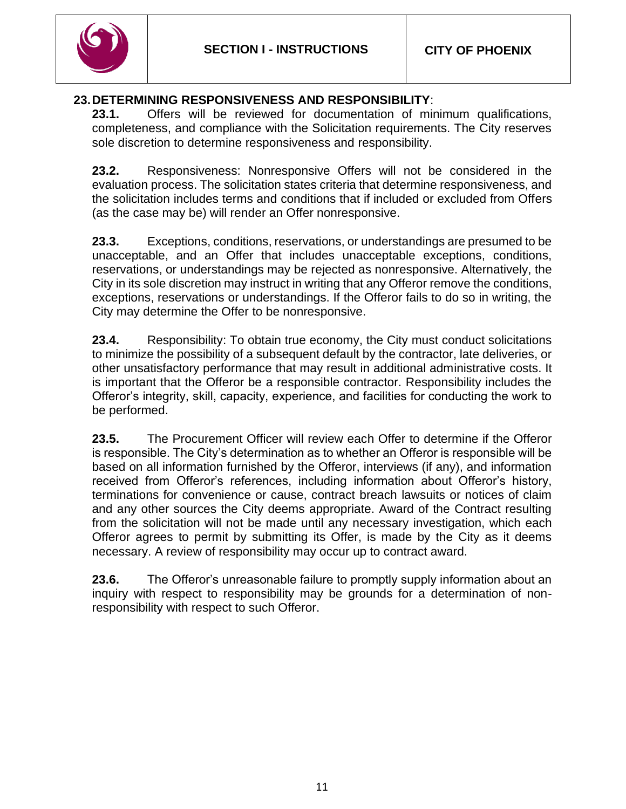

# **23.DETERMINING RESPONSIVENESS AND RESPONSIBILITY**:

**23.1.** Offers will be reviewed for documentation of minimum qualifications, completeness, and compliance with the Solicitation requirements. The City reserves sole discretion to determine responsiveness and responsibility.

**23.2.** Responsiveness: Nonresponsive Offers will not be considered in the evaluation process. The solicitation states criteria that determine responsiveness, and the solicitation includes terms and conditions that if included or excluded from Offers (as the case may be) will render an Offer nonresponsive.

**23.3.** Exceptions, conditions, reservations, or understandings are presumed to be unacceptable, and an Offer that includes unacceptable exceptions, conditions, reservations, or understandings may be rejected as nonresponsive. Alternatively, the City in its sole discretion may instruct in writing that any Offeror remove the conditions, exceptions, reservations or understandings. If the Offeror fails to do so in writing, the City may determine the Offer to be nonresponsive.

**23.4.** Responsibility: To obtain true economy, the City must conduct solicitations to minimize the possibility of a subsequent default by the contractor, late deliveries, or other unsatisfactory performance that may result in additional administrative costs. It is important that the Offeror be a responsible contractor. Responsibility includes the Offeror's integrity, skill, capacity, experience, and facilities for conducting the work to be performed.

**23.5.** The Procurement Officer will review each Offer to determine if the Offeror is responsible. The City's determination as to whether an Offeror is responsible will be based on all information furnished by the Offeror, interviews (if any), and information received from Offeror's references, including information about Offeror's history, terminations for convenience or cause, contract breach lawsuits or notices of claim and any other sources the City deems appropriate. Award of the Contract resulting from the solicitation will not be made until any necessary investigation, which each Offeror agrees to permit by submitting its Offer, is made by the City as it deems necessary. A review of responsibility may occur up to contract award.

<span id="page-10-0"></span>**23.6.** The Offeror's unreasonable failure to promptly supply information about an inquiry with respect to responsibility may be grounds for a determination of nonresponsibility with respect to such Offeror.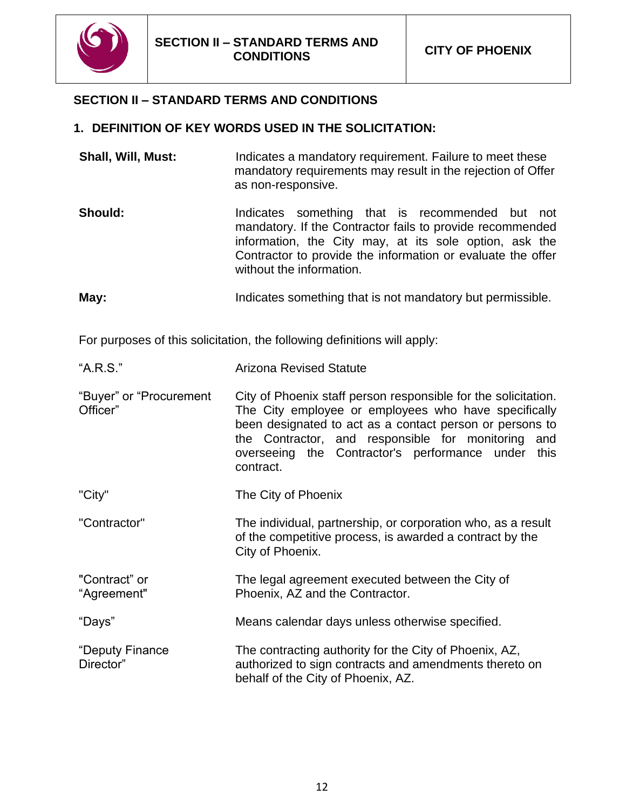

## **SECTION II – STANDARD TERMS AND CONDITIONS**

#### **1. DEFINITION OF KEY WORDS USED IN THE SOLICITATION:**

- **Shall, Will, Must:** Indicates a mandatory requirement. Failure to meet these mandatory requirements may result in the rejection of Offer as non-responsive.
- **Should:** Indicates something that is recommended but not mandatory. If the Contractor fails to provide recommended information, the City may, at its sole option, ask the Contractor to provide the information or evaluate the offer without the information.
- **May:** Indicates something that is not mandatory but permissible.

For purposes of this solicitation, the following definitions will apply:

| "A.R.S."                            | <b>Arizona Revised Statute</b>                                                                                                                                                                                                                                                                                 |  |  |
|-------------------------------------|----------------------------------------------------------------------------------------------------------------------------------------------------------------------------------------------------------------------------------------------------------------------------------------------------------------|--|--|
| "Buyer" or "Procurement<br>Officer" | City of Phoenix staff person responsible for the solicitation.<br>The City employee or employees who have specifically<br>been designated to act as a contact person or persons to<br>the Contractor, and responsible for monitoring and<br>overseeing the Contractor's performance under<br>this<br>contract. |  |  |
| "City"                              | The City of Phoenix                                                                                                                                                                                                                                                                                            |  |  |
| "Contractor"                        | The individual, partnership, or corporation who, as a result<br>of the competitive process, is awarded a contract by the<br>City of Phoenix.                                                                                                                                                                   |  |  |
| "Contract" or<br>"Agreement"        | The legal agreement executed between the City of<br>Phoenix, AZ and the Contractor.                                                                                                                                                                                                                            |  |  |
| "Days"                              | Means calendar days unless otherwise specified.                                                                                                                                                                                                                                                                |  |  |
| "Deputy Finance<br>Director"        | The contracting authority for the City of Phoenix, AZ,<br>authorized to sign contracts and amendments thereto on<br>behalf of the City of Phoenix, AZ.                                                                                                                                                         |  |  |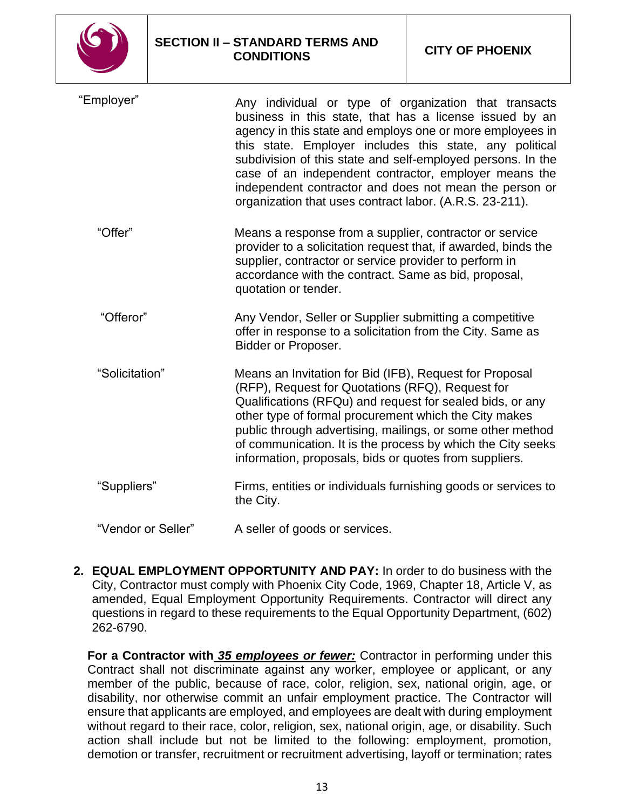

| "Employer"         | Any individual or type of organization that transacts<br>business in this state, that has a license issued by an<br>agency in this state and employs one or more employees in<br>this state. Employer includes this state, any political<br>subdivision of this state and self-employed persons. In the<br>case of an independent contractor, employer means the<br>independent contractor and does not mean the person or<br>organization that uses contract labor. (A.R.S. 23-211). |  |  |
|--------------------|---------------------------------------------------------------------------------------------------------------------------------------------------------------------------------------------------------------------------------------------------------------------------------------------------------------------------------------------------------------------------------------------------------------------------------------------------------------------------------------|--|--|
| "Offer"            | Means a response from a supplier, contractor or service<br>provider to a solicitation request that, if awarded, binds the<br>supplier, contractor or service provider to perform in<br>accordance with the contract. Same as bid, proposal,<br>quotation or tender.                                                                                                                                                                                                                   |  |  |
| "Offeror"          | Any Vendor, Seller or Supplier submitting a competitive<br>offer in response to a solicitation from the City. Same as<br>Bidder or Proposer.                                                                                                                                                                                                                                                                                                                                          |  |  |
| "Solicitation"     | Means an Invitation for Bid (IFB), Request for Proposal<br>(RFP), Request for Quotations (RFQ), Request for<br>Qualifications (RFQu) and request for sealed bids, or any<br>other type of formal procurement which the City makes<br>public through advertising, mailings, or some other method<br>of communication. It is the process by which the City seeks<br>information, proposals, bids or quotes from suppliers.                                                              |  |  |
| "Suppliers"        | Firms, entities or individuals furnishing goods or services to<br>the City.                                                                                                                                                                                                                                                                                                                                                                                                           |  |  |
| "Vendor or Seller" | A seller of goods or services.                                                                                                                                                                                                                                                                                                                                                                                                                                                        |  |  |

**2. EQUAL EMPLOYMENT OPPORTUNITY AND PAY:** In order to do business with the City, Contractor must comply with Phoenix City Code, 1969, Chapter 18, Article V, as amended, Equal Employment Opportunity Requirements. Contractor will direct any questions in regard to these requirements to the Equal Opportunity Department, (602) 262-6790.

**For a Contractor with** *35 employees or fewer:* Contractor in performing under this Contract shall not discriminate against any worker, employee or applicant, or any member of the public, because of race, color, religion, sex, national origin, age, or disability, nor otherwise commit an unfair employment practice. The Contractor will ensure that applicants are employed, and employees are dealt with during employment without regard to their race, color, religion, sex, national origin, age, or disability. Such action shall include but not be limited to the following: employment, promotion, demotion or transfer, recruitment or recruitment advertising, layoff or termination; rates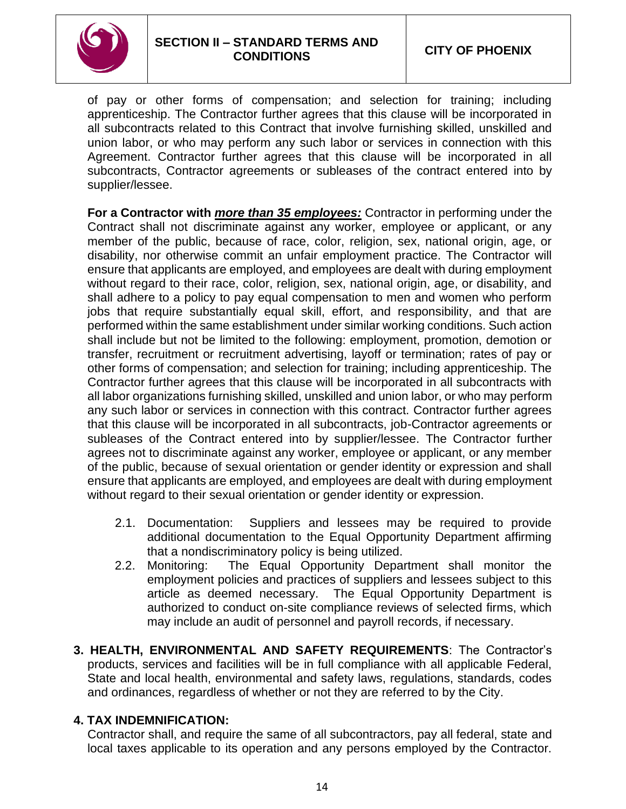

of pay or other forms of compensation; and selection for training; including apprenticeship. The Contractor further agrees that this clause will be incorporated in all subcontracts related to this Contract that involve furnishing skilled, unskilled and union labor, or who may perform any such labor or services in connection with this Agreement. Contractor further agrees that this clause will be incorporated in all subcontracts, Contractor agreements or subleases of the contract entered into by supplier/lessee.

**For a Contractor with** *more than 35 employees:* Contractor in performing under the Contract shall not discriminate against any worker, employee or applicant, or any member of the public, because of race, color, religion, sex, national origin, age, or disability, nor otherwise commit an unfair employment practice. The Contractor will ensure that applicants are employed, and employees are dealt with during employment without regard to their race, color, religion, sex, national origin, age, or disability, and shall adhere to a policy to pay equal compensation to men and women who perform jobs that require substantially equal skill, effort, and responsibility, and that are performed within the same establishment under similar working conditions. Such action shall include but not be limited to the following: employment, promotion, demotion or transfer, recruitment or recruitment advertising, layoff or termination; rates of pay or other forms of compensation; and selection for training; including apprenticeship. The Contractor further agrees that this clause will be incorporated in all subcontracts with all labor organizations furnishing skilled, unskilled and union labor, or who may perform any such labor or services in connection with this contract. Contractor further agrees that this clause will be incorporated in all subcontracts, job-Contractor agreements or subleases of the Contract entered into by supplier/lessee. The Contractor further agrees not to discriminate against any worker, employee or applicant, or any member of the public, because of sexual orientation or gender identity or expression and shall ensure that applicants are employed, and employees are dealt with during employment without regard to their sexual orientation or gender identity or expression.

- 2.1. Documentation: Suppliers and lessees may be required to provide additional documentation to the Equal Opportunity Department affirming that a nondiscriminatory policy is being utilized.
- 2.2. Monitoring: The Equal Opportunity Department shall monitor the employment policies and practices of suppliers and lessees subject to this article as deemed necessary. The Equal Opportunity Department is authorized to conduct on-site compliance reviews of selected firms, which may include an audit of personnel and payroll records, if necessary.
- **3. HEALTH, ENVIRONMENTAL AND SAFETY REQUIREMENTS**: The Contractor's products, services and facilities will be in full compliance with all applicable Federal, State and local health, environmental and safety laws, regulations, standards, codes and ordinances, regardless of whether or not they are referred to by the City.

## **4. TAX INDEMNIFICATION:**

Contractor shall, and require the same of all subcontractors, pay all federal, state and local taxes applicable to its operation and any persons employed by the Contractor.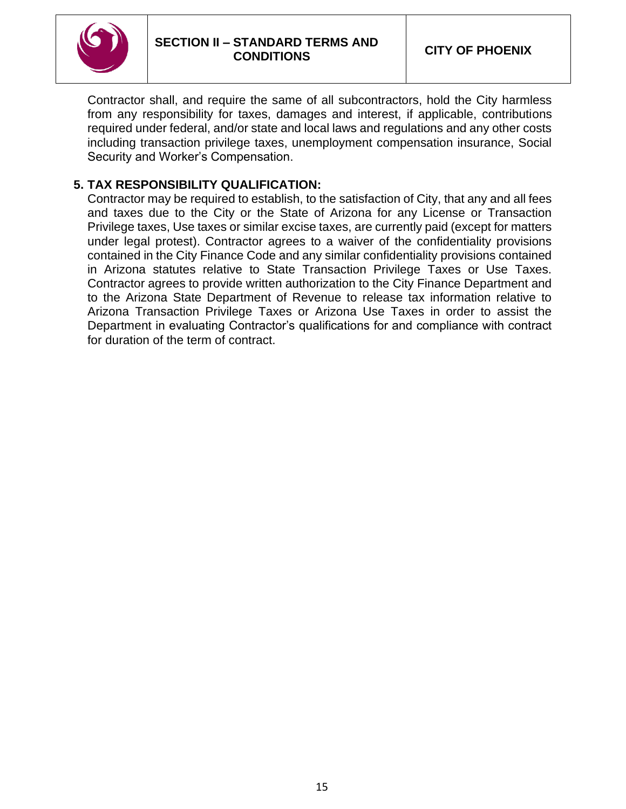

Contractor shall, and require the same of all subcontractors, hold the City harmless from any responsibility for taxes, damages and interest, if applicable, contributions required under federal, and/or state and local laws and regulations and any other costs including transaction privilege taxes, unemployment compensation insurance, Social Security and Worker's Compensation.

## **5. TAX RESPONSIBILITY QUALIFICATION:**

Contractor may be required to establish, to the satisfaction of City, that any and all fees and taxes due to the City or the State of Arizona for any License or Transaction Privilege taxes, Use taxes or similar excise taxes, are currently paid (except for matters under legal protest). Contractor agrees to a waiver of the confidentiality provisions contained in the City Finance Code and any similar confidentiality provisions contained in Arizona statutes relative to State Transaction Privilege Taxes or Use Taxes. Contractor agrees to provide written authorization to the City Finance Department and to the Arizona State Department of Revenue to release tax information relative to Arizona Transaction Privilege Taxes or Arizona Use Taxes in order to assist the Department in evaluating Contractor's qualifications for and compliance with contract for duration of the term of contract.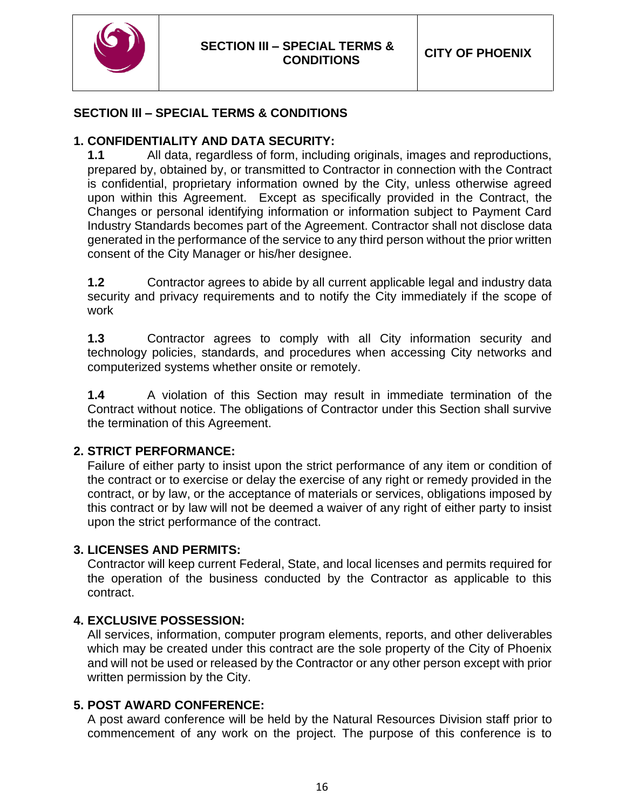

### <span id="page-15-0"></span>**SECTION lIl – SPECIAL TERMS & CONDITIONS**

#### **1. CONFIDENTIALITY AND DATA SECURITY:**

**1.1** All data, regardless of form, including originals, images and reproductions, prepared by, obtained by, or transmitted to Contractor in connection with the Contract is confidential, proprietary information owned by the City, unless otherwise agreed upon within this Agreement. Except as specifically provided in the Contract, the Changes or personal identifying information or information subject to Payment Card Industry Standards becomes part of the Agreement. Contractor shall not disclose data generated in the performance of the service to any third person without the prior written consent of the City Manager or his/her designee.

**1.2** Contractor agrees to abide by all current applicable legal and industry data security and privacy requirements and to notify the City immediately if the scope of work

**1.3** Contractor agrees to comply with all City information security and technology policies, standards, and procedures when accessing City networks and computerized systems whether onsite or remotely.

**1.4** A violation of this Section may result in immediate termination of the Contract without notice. The obligations of Contractor under this Section shall survive the termination of this Agreement.

### **2. STRICT PERFORMANCE:**

Failure of either party to insist upon the strict performance of any item or condition of the contract or to exercise or delay the exercise of any right or remedy provided in the contract, or by law, or the acceptance of materials or services, obligations imposed by this contract or by law will not be deemed a waiver of any right of either party to insist upon the strict performance of the contract.

### **3. LICENSES AND PERMITS:**

Contractor will keep current Federal, State, and local licenses and permits required for the operation of the business conducted by the Contractor as applicable to this contract.

### **4. EXCLUSIVE POSSESSION:**

All services, information, computer program elements, reports, and other deliverables which may be created under this contract are the sole property of the City of Phoenix and will not be used or released by the Contractor or any other person except with prior written permission by the City.

#### **5. POST AWARD CONFERENCE:**

A post award conference will be held by the Natural Resources Division staff prior to commencement of any work on the project. The purpose of this conference is to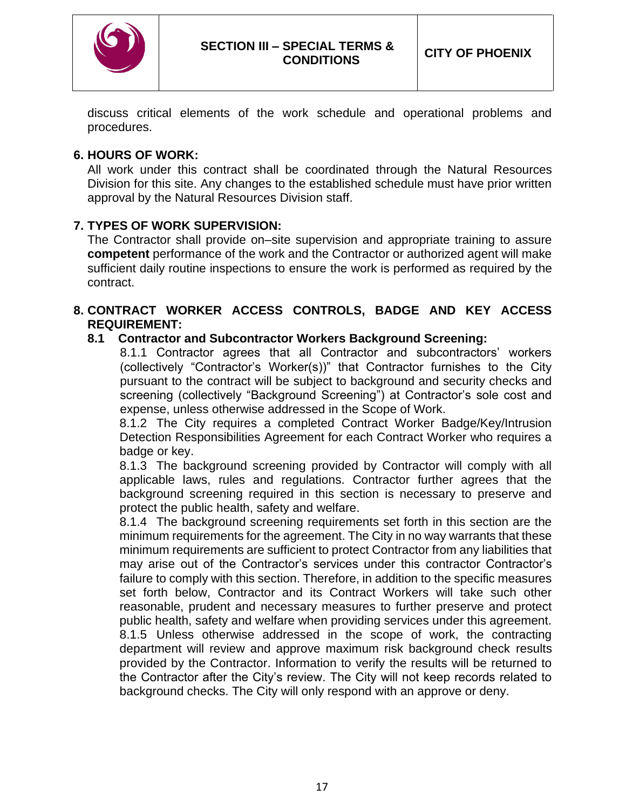

discuss critical elements of the work schedule and operational problems and procedures.

#### **6. HOURS OF WORK:**

All work under this contract shall be coordinated through the Natural Resources Division for this site. Any changes to the established schedule must have prior written approval by the Natural Resources Division staff.

### **7. TYPES OF WORK SUPERVISION:**

The Contractor shall provide on–site supervision and appropriate training to assure **competent** performance of the work and the Contractor or authorized agent will make sufficient daily routine inspections to ensure the work is performed as required by the contract.

### **8. CONTRACT WORKER ACCESS CONTROLS, BADGE AND KEY ACCESS REQUIREMENT:**

#### **8.1 Contractor and Subcontractor Workers Background Screening:**

8.1.1 Contractor agrees that all Contractor and subcontractors' workers (collectively "Contractor's Worker(s))" that Contractor furnishes to the City pursuant to the contract will be subject to background and security checks and screening (collectively "Background Screening") at Contractor's sole cost and expense, unless otherwise addressed in the Scope of Work.

8.1.2 The City requires a completed Contract Worker Badge/Key/Intrusion Detection Responsibilities Agreement for each Contract Worker who requires a badge or key.

8.1.3 The background screening provided by Contractor will comply with all applicable laws, rules and regulations. Contractor further agrees that the background screening required in this section is necessary to preserve and protect the public health, safety and welfare.

8.1.4 The background screening requirements set forth in this section are the minimum requirements for the agreement. The City in no way warrants that these minimum requirements are sufficient to protect Contractor from any liabilities that may arise out of the Contractor's services under this contractor Contractor's failure to comply with this section. Therefore, in addition to the specific measures set forth below, Contractor and its Contract Workers will take such other reasonable, prudent and necessary measures to further preserve and protect public health, safety and welfare when providing services under this agreement. 8.1.5 Unless otherwise addressed in the scope of work, the contracting department will review and approve maximum risk background check results provided by the Contractor. Information to verify the results will be returned to the Contractor after the City's review. The City will not keep records related to background checks. The City will only respond with an approve or deny.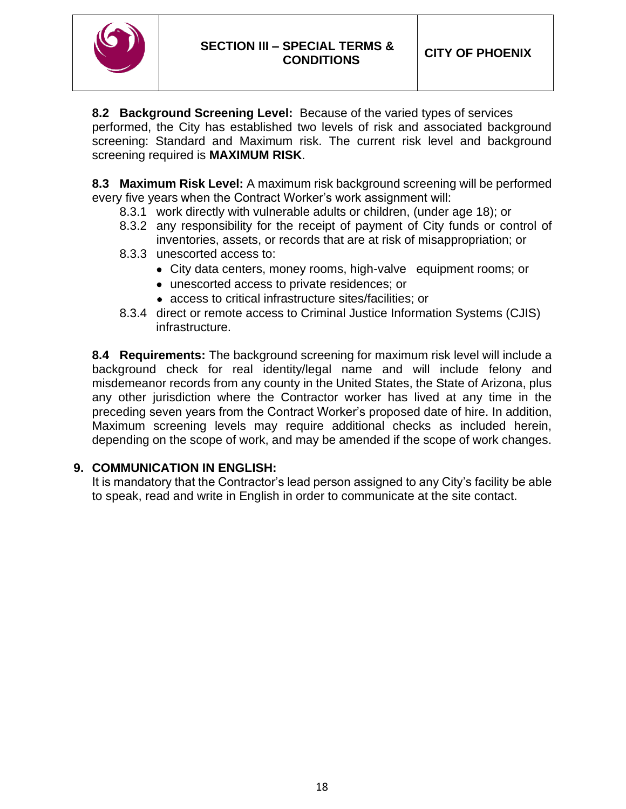

**8.2 Background Screening Level:** Because of the varied types of services performed, the City has established two levels of risk and associated background screening: Standard and Maximum risk. The current risk level and background screening required is **MAXIMUM RISK**.

**8.3 Maximum Risk Level:** A maximum risk background screening will be performed every five years when the Contract Worker's work assignment will:

- 8.3.1 work directly with vulnerable adults or children, (under age 18); or
- 8.3.2 any responsibility for the receipt of payment of City funds or control of inventories, assets, or records that are at risk of misappropriation; or
- 8.3.3 unescorted access to:
	- City data centers, money rooms, high-valve equipment rooms; or
	- unescorted access to private residences; or
	- access to critical infrastructure sites/facilities; or
- 8.3.4 direct or remote access to Criminal Justice Information Systems (CJIS) infrastructure.

**8.4 Requirements:** The background screening for maximum risk level will include a background check for real identity/legal name and will include felony and misdemeanor records from any county in the United States, the State of Arizona, plus any other jurisdiction where the Contractor worker has lived at any time in the preceding seven years from the Contract Worker's proposed date of hire. In addition, Maximum screening levels may require additional checks as included herein, depending on the scope of work, and may be amended if the scope of work changes.

## **9. COMMUNICATION IN ENGLISH:**

It is mandatory that the Contractor's lead person assigned to any City's facility be able to speak, read and write in English in order to communicate at the site contact.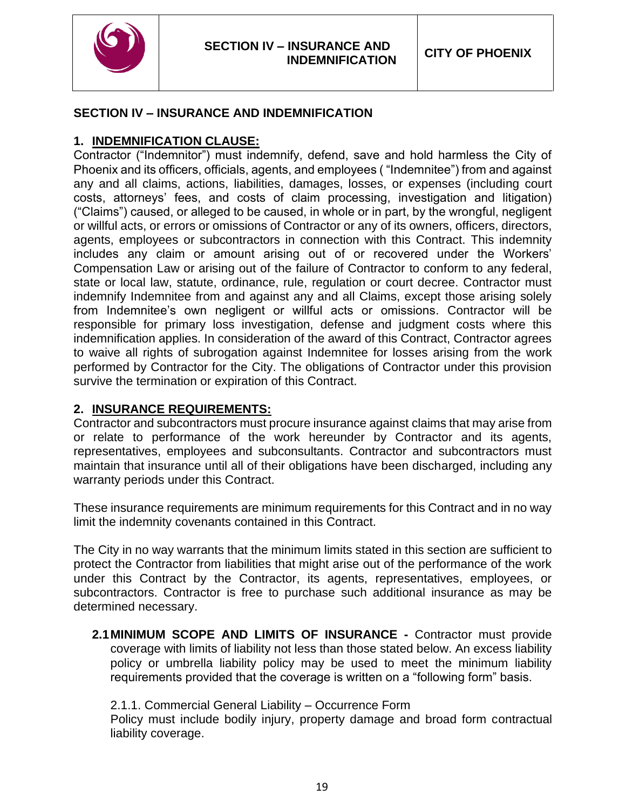

### <span id="page-18-0"></span>**SECTION IV – INSURANCE AND INDEMNIFICATION**

## **1. INDEMNIFICATION CLAUSE:**

Contractor ("Indemnitor") must indemnify, defend, save and hold harmless the City of Phoenix and its officers, officials, agents, and employees ( "Indemnitee") from and against any and all claims, actions, liabilities, damages, losses, or expenses (including court costs, attorneys' fees, and costs of claim processing, investigation and litigation) ("Claims") caused, or alleged to be caused, in whole or in part, by the wrongful, negligent or willful acts, or errors or omissions of Contractor or any of its owners, officers, directors, agents, employees or subcontractors in connection with this Contract. This indemnity includes any claim or amount arising out of or recovered under the Workers' Compensation Law or arising out of the failure of Contractor to conform to any federal, state or local law, statute, ordinance, rule, regulation or court decree. Contractor must indemnify Indemnitee from and against any and all Claims, except those arising solely from Indemnitee's own negligent or willful acts or omissions. Contractor will be responsible for primary loss investigation, defense and judgment costs where this indemnification applies. In consideration of the award of this Contract, Contractor agrees to waive all rights of subrogation against Indemnitee for losses arising from the work performed by Contractor for the City. The obligations of Contractor under this provision survive the termination or expiration of this Contract.

## **2. INSURANCE REQUIREMENTS:**

Contractor and subcontractors must procure insurance against claims that may arise from or relate to performance of the work hereunder by Contractor and its agents, representatives, employees and subconsultants. Contractor and subcontractors must maintain that insurance until all of their obligations have been discharged, including any warranty periods under this Contract.

These insurance requirements are minimum requirements for this Contract and in no way limit the indemnity covenants contained in this Contract.

The City in no way warrants that the minimum limits stated in this section are sufficient to protect the Contractor from liabilities that might arise out of the performance of the work under this Contract by the Contractor, its agents, representatives, employees, or subcontractors. Contractor is free to purchase such additional insurance as may be determined necessary.

**2.1MINIMUM SCOPE AND LIMITS OF INSURANCE -** Contractor must provide coverage with limits of liability not less than those stated below. An excess liability policy or umbrella liability policy may be used to meet the minimum liability requirements provided that the coverage is written on a "following form" basis.

2.1.1. Commercial General Liability – Occurrence Form

Policy must include bodily injury, property damage and broad form contractual liability coverage.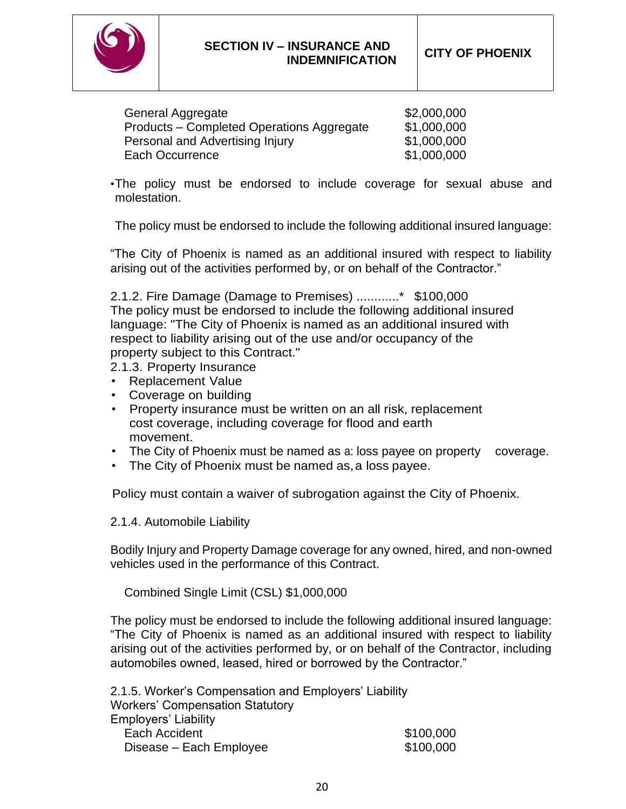

#### **SECTION IV – INSURANCE AND INDEMNIFICATION CITY OF PHOENIX**

General Aggregate  $$2,000,000$ Products – Completed Operations Aggregate \$1,000,000 Personal and Advertising Injury \$1,000,000 Each Occurrence  $$1,000,000$ 

•The policy must be endorsed to include coverage for sexual abuse and molestation.

The policy must be endorsed to include the following additional insured language:

"The City of Phoenix is named as an additional insured with respect to liability arising out of the activities performed by, or on behalf of the Contractor."

2.1.2. Fire Damage (Damage to Premises) ............\* \$100,000 The policy must be endorsed to include the following additional insured language: "The City of Phoenix is named as an additional insured with respect to liability arising out of the use and/or occupancy of the property subject to this Contract."

2.1.3. Property Insurance

- Replacement Value
- Coverage on building
- Property insurance must be written on an all risk, replacement cost coverage, including coverage for flood and earth movement.
- The City of Phoenix must be named as a: loss payee on property coverage.
- The City of Phoenix must be named as,a loss payee.

Policy must contain a waiver of subrogation against the City of Phoenix.

2.1.4. Automobile Liability

Bodily Injury and Property Damage coverage for any owned, hired, and non-owned vehicles used in the performance of this Contract.

Combined Single Limit (CSL) \$1,000,000

The policy must be endorsed to include the following additional insured language: "The City of Phoenix is named as an additional insured with respect to liability arising out of the activities performed by, or on behalf of the Contractor, including automobiles owned, leased, hired or borrowed by the Contractor."

| 2.1.5. Worker's Compensation and Employers' Liability |           |
|-------------------------------------------------------|-----------|
| <b>Workers' Compensation Statutory</b>                |           |
| Employers' Liability                                  |           |
| Each Accident                                         | \$100,000 |
| Disease - Each Employee                               | \$100,000 |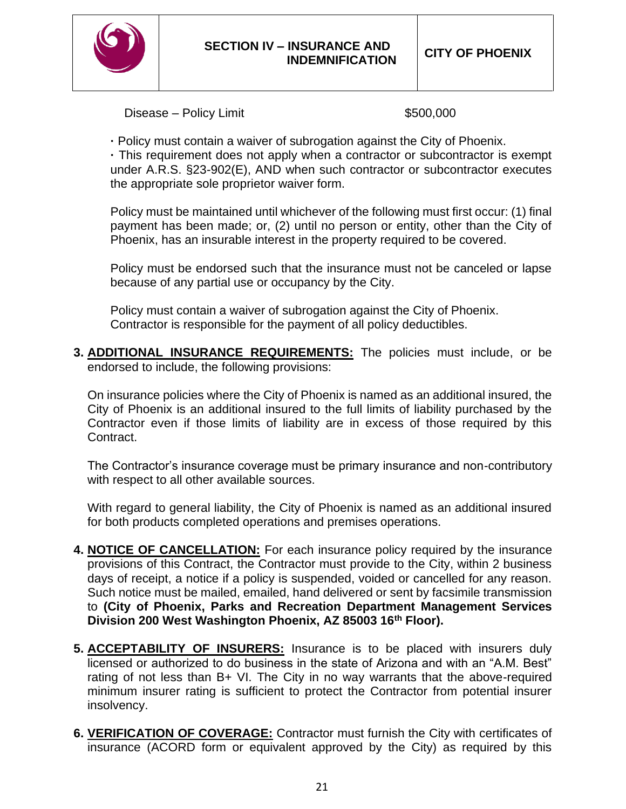

Disease – Policy Limit **\$500,000** 

**·** Policy must contain a waiver of subrogation against the City of Phoenix.

**·** This requirement does not apply when a contractor or subcontractor is exempt under A.R.S. §23-902(E), AND when such contractor or subcontractor executes the appropriate sole proprietor waiver form.

Policy must be maintained until whichever of the following must first occur: (1) final payment has been made; or, (2) until no person or entity, other than the City of Phoenix, has an insurable interest in the property required to be covered.

Policy must be endorsed such that the insurance must not be canceled or lapse because of any partial use or occupancy by the City.

Policy must contain a waiver of subrogation against the City of Phoenix. Contractor is responsible for the payment of all policy deductibles.

**3. ADDITIONAL INSURANCE REQUIREMENTS:** The policies must include, or be endorsed to include, the following provisions:

On insurance policies where the City of Phoenix is named as an additional insured, the City of Phoenix is an additional insured to the full limits of liability purchased by the Contractor even if those limits of liability are in excess of those required by this Contract.

The Contractor's insurance coverage must be primary insurance and non-contributory with respect to all other available sources.

With regard to general liability, the City of Phoenix is named as an additional insured for both products completed operations and premises operations.

- **4. NOTICE OF CANCELLATION:** For each insurance policy required by the insurance provisions of this Contract, the Contractor must provide to the City, within 2 business days of receipt, a notice if a policy is suspended, voided or cancelled for any reason. Such notice must be mailed, emailed, hand delivered or sent by facsimile transmission to **(City of Phoenix, Parks and Recreation Department Management Services Division 200 West Washington Phoenix, AZ 85003 16th Floor).**
- **5. ACCEPTABILITY OF INSURERS:** Insurance is to be placed with insurers duly licensed or authorized to do business in the state of Arizona and with an "A.M. Best" rating of not less than B+ VI. The City in no way warrants that the above-required minimum insurer rating is sufficient to protect the Contractor from potential insurer insolvency.
- **6. VERIFICATION OF COVERAGE:** Contractor must furnish the City with certificates of insurance (ACORD form or equivalent approved by the City) as required by this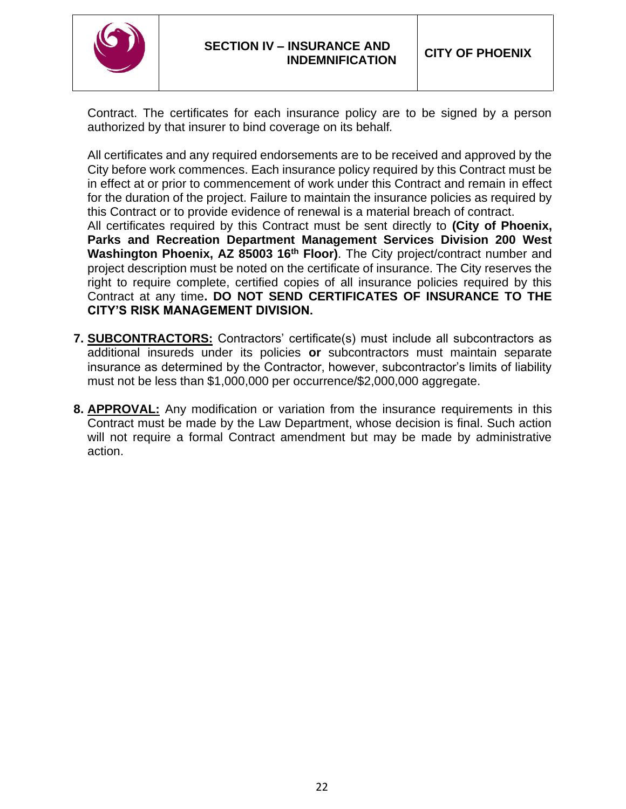

Contract. The certificates for each insurance policy are to be signed by a person authorized by that insurer to bind coverage on its behalf*.*

All certificates and any required endorsements are to be received and approved by the City before work commences. Each insurance policy required by this Contract must be in effect at or prior to commencement of work under this Contract and remain in effect for the duration of the project. Failure to maintain the insurance policies as required by this Contract or to provide evidence of renewal is a material breach of contract.

All certificates required by this Contract must be sent directly to **(City of Phoenix, Parks and Recreation Department Management Services Division 200 West Washington Phoenix, AZ 85003 16th Floor)**. The City project/contract number and project description must be noted on the certificate of insurance. The City reserves the right to require complete, certified copies of all insurance policies required by this Contract at any time**. DO NOT SEND CERTIFICATES OF INSURANCE TO THE CITY'S RISK MANAGEMENT DIVISION.**

- **7. SUBCONTRACTORS:** Contractors' certificate(s) must include all subcontractors as additional insureds under its policies **or** subcontractors must maintain separate insurance as determined by the Contractor, however, subcontractor's limits of liability must not be less than \$1,000,000 per occurrence/\$2,000,000 aggregate.
- **8. APPROVAL:** Any modification or variation from the insurance requirements in this Contract must be made by the Law Department, whose decision is final. Such action will not require a formal Contract amendment but may be made by administrative action.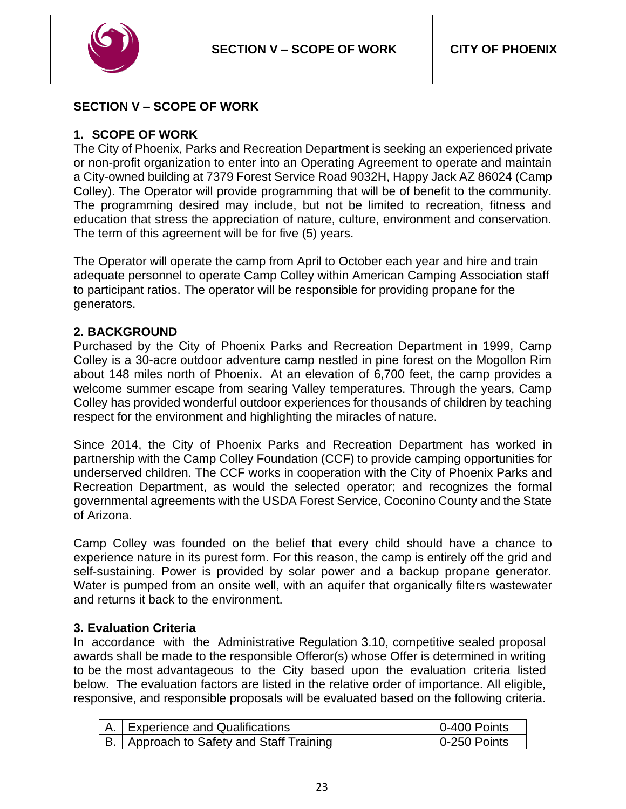

## <span id="page-22-0"></span>**SECTION V – SCOPE OF WORK**

## **1. SCOPE OF WORK**

The City of Phoenix, Parks and Recreation Department is seeking an experienced private or non-profit organization to enter into an Operating Agreement to operate and maintain a City-owned building at [7379 Forest Service Road 9032H, Happy Jack AZ 86024](https://goo.gl/maps/vYvNUYyxUwE2) (Camp Colley). The Operator will provide programming that will be of benefit to the community. The programming desired may include, but not be limited to recreation, fitness and education that stress the appreciation of nature, culture, environment and conservation. The term of this agreement will be for five (5) years.

The Operator will operate the camp from April to October each year and hire and train adequate personnel to operate Camp Colley within American Camping Association staff to participant ratios. The operator will be responsible for providing propane for the generators.

### **2. BACKGROUND**

Purchased by the City of Phoenix Parks and Recreation Department in 1999, Camp Colley is a 30-acre outdoor adventure camp nestled in pine forest on the Mogollon Rim about 148 miles north of Phoenix. At an elevation of 6,700 feet, the camp provides a welcome summer escape from searing Valley temperatures. Through the years, Camp Colley has provided wonderful outdoor experiences for thousands of children by teaching respect for the environment and highlighting the miracles of nature.

Since 2014, the City of Phoenix Parks and Recreation Department has worked in partnership with the Camp Colley Foundation (CCF) to provide camping opportunities for underserved children. The CCF works in cooperation with the City of Phoenix Parks and Recreation Department, as would the selected operator; and recognizes the formal governmental agreements with the USDA Forest Service, Coconino County and the State of Arizona.

Camp Colley was founded on the belief that every child should have a chance to experience nature in its purest form. For this reason, the camp is entirely off the grid and self-sustaining. Power is provided by solar power and a backup propane generator. Water is pumped from an onsite well, with an aquifer that organically filters wastewater and returns it back to the environment.

### **3. Evaluation Criteria**

In accordance with the Administrative Regulation 3.10, competitive sealed proposal awards shall be made to the responsible Offeror(s) whose Offer is determined in writing to be the most advantageous to the City based upon the evaluation criteria listed below. The evaluation factors are listed in the relative order of importance. All eligible, responsive, and responsible proposals will be evaluated based on the following criteria.

| A. Experience and Qualifications           | 0-400 Points   |
|--------------------------------------------|----------------|
| B.   Approach to Safety and Staff Training | $0-250$ Points |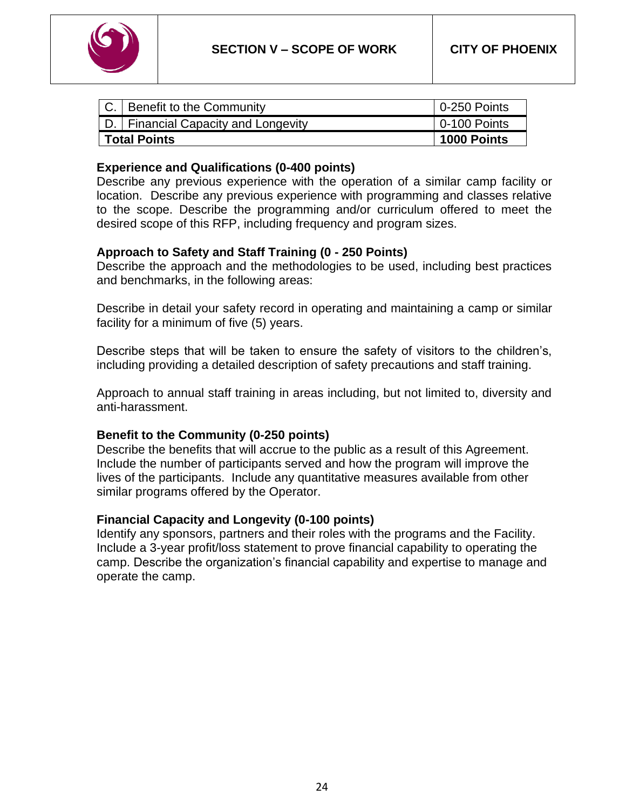

|              | C.   Benefit to the Community         | $\vert$ 0-250 Points |
|--------------|---------------------------------------|----------------------|
|              | D.   Financial Capacity and Longevity | 0-100 Points         |
| Total Points |                                       | 1000 Points          |

#### **Experience and Qualifications (0-400 points)**

Describe any previous experience with the operation of a similar camp facility or location. Describe any previous experience with programming and classes relative to the scope. Describe the programming and/or curriculum offered to meet the desired scope of this RFP, including frequency and program sizes.

#### **Approach to Safety and Staff Training (0 - 250 Points)**

Describe the approach and the methodologies to be used, including best practices and benchmarks, in the following areas:

Describe in detail your safety record in operating and maintaining a camp or similar facility for a minimum of five (5) years.

Describe steps that will be taken to ensure the safety of visitors to the children's, including providing a detailed description of safety precautions and staff training.

Approach to annual staff training in areas including, but not limited to, diversity and anti-harassment.

#### **Benefit to the Community (0-250 points)**

Describe the benefits that will accrue to the public as a result of this Agreement. Include the number of participants served and how the program will improve the lives of the participants. Include any quantitative measures available from other similar programs offered by the Operator.

#### **Financial Capacity and Longevity (0-100 points)**

Identify any sponsors, partners and their roles with the programs and the Facility. Include a 3-year profit/loss statement to prove financial capability to operating the camp. Describe the organization's financial capability and expertise to manage and operate the camp.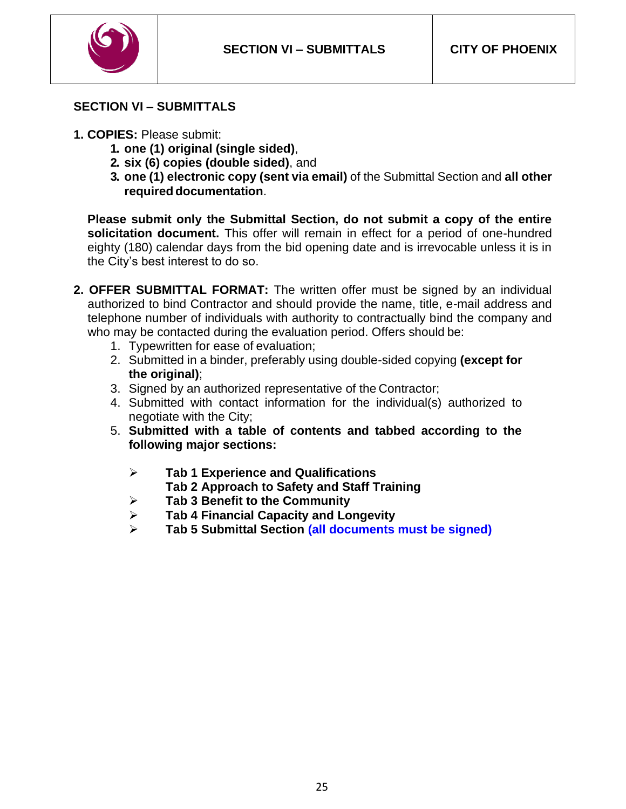

## **SECTION VI – SUBMITTALS**

- **1. COPIES:** Please submit:
	- **1. one (1) original (single sided)**,
	- **2. six (6) copies (double sided)**, and
	- **3. one (1) electronic copy (sent via email)** of the Submittal Section and **all other**  required documentation.

**Please submit only the Submittal Section, do not submit a copy of the entire solicitation document.** This offer will remain in effect for a period of one-hundred eighty (180) calendar days from the bid opening date and is irrevocable unless it is in the City's best interest to do so.

- **2. OFFER SUBMITTAL FORMAT:** The written offer must be signed by an individual authorized to bind Contractor and should provide the name, title, e-mail address and telephone number of individuals with authority to contractually bind the company and who may be contacted during the evaluation period. Offers should be:
	- 1. Typewritten for ease of evaluation;
	- 2. Submitted in a binder, preferably using double-sided copying **(except for the original)**;
	- 3. Signed by an authorized representative of the Contractor;
	- 4. Submitted with contact information for the individual(s) authorized to negotiate with the City;
	- 5. **Submitted with a table of contents and tabbed according to the following major sections:**
		- ➢ **Tab 1 Experience and Qualifications**
			- **Tab 2 Approach to Safety and Staff Training**
		- ➢ **Tab 3 Benefit to the Community**
		- ➢ **Tab 4 Financial Capacity and Longevity**
		- ➢ **Tab 5 Submittal Section (all documents must be signed)**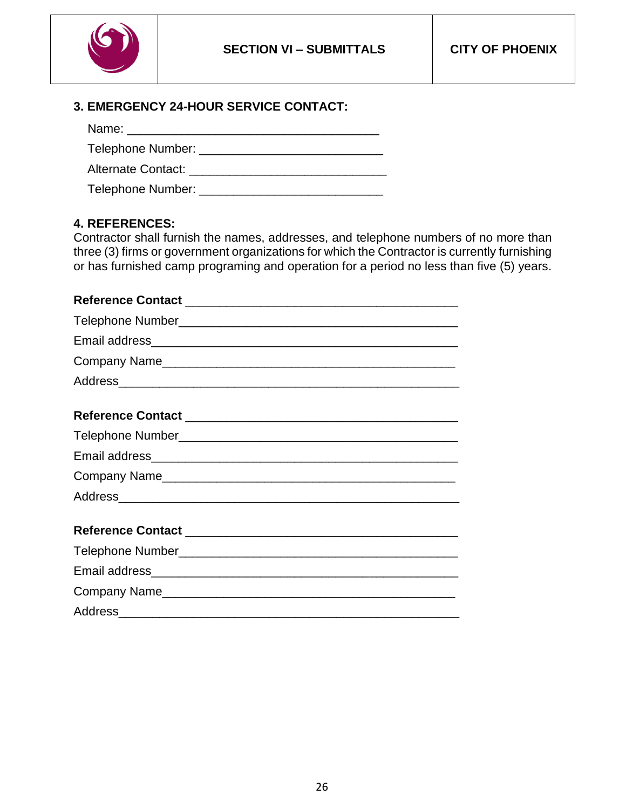

## **3. EMERGENCY 24-HOUR SERVICE CONTACT:**

Name: \_\_\_\_\_\_\_\_\_\_\_\_\_\_\_\_\_\_\_\_\_\_\_\_\_\_\_\_\_\_\_\_\_\_\_\_\_

Telephone Number: \_\_\_\_\_\_\_\_\_\_\_\_\_\_\_\_\_\_\_\_\_\_\_\_\_\_\_

Alternate Contact: **Alternate** Contact:

Telephone Number: \_\_\_\_\_\_\_\_\_\_\_\_\_\_\_\_\_\_\_\_\_\_\_\_\_\_\_

## **4. REFERENCES:**

Contractor shall furnish the names, addresses, and telephone numbers of no more than three (3) firms or government organizations for which the Contractor is currently furnishing or has furnished camp programing and operation for a period no less than five (5) years.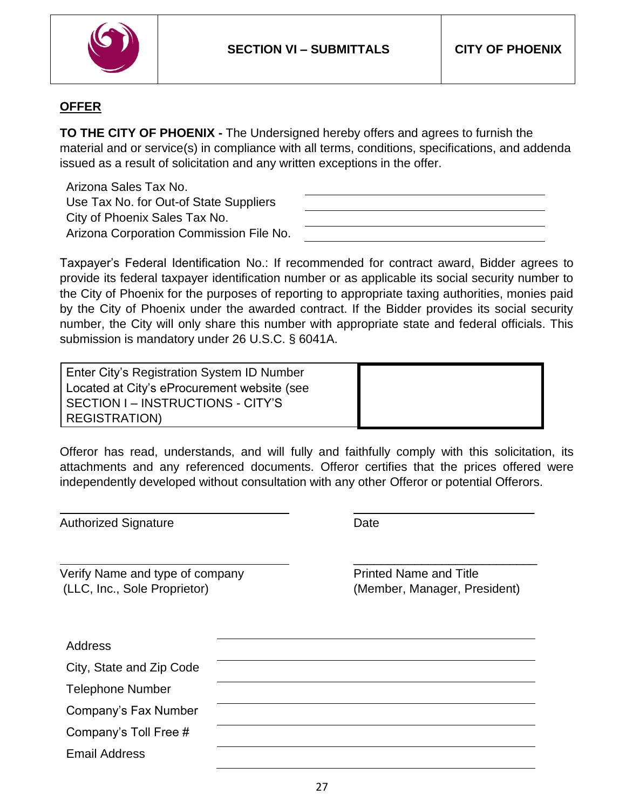

\_\_ \_\_\_\_\_

## **OFFER**

**TO THE CITY OF PHOENIX -** The Undersigned hereby offers and agrees to furnish the material and or service(s) in compliance with all terms, conditions, specifications, and addenda issued as a result of solicitation and any written exceptions in the offer.

Arizona Sales Tax No. Use Tax No. for Out-of State Suppliers City of Phoenix Sales Tax No. Arizona Corporation Commission File No.

Taxpayer's Federal Identification No.: If recommended for contract award, Bidder agrees to provide its federal taxpayer identification number or as applicable its social security number to the City of Phoenix for the purposes of reporting to appropriate taxing authorities, monies paid by the City of Phoenix under the awarded contract. If the Bidder provides its social security number, the City will only share this number with appropriate state and federal officials. This submission is mandatory under 26 U.S.C. § 6041A.

Enter City's Registration System ID Number Located at City's eProcurement website (see SECTION I – INSTRUCTIONS - CITY'S REGISTRATION)

Offeror has read, understands, and will fully and faithfully comply with this solicitation, its attachments and any referenced documents. Offeror certifies that the prices offered were independently developed without consultation with any other Offeror or potential Offerors.

| Authorized Signature            | Date                          |
|---------------------------------|-------------------------------|
|                                 |                               |
| Verify Name and type of company | <b>Printed Name and Title</b> |
| (LLC, Inc., Sole Proprietor)    | (Member, Manager, President)  |
|                                 |                               |
| <b>Address</b>                  |                               |
| City, State and Zip Code        |                               |
| <b>Telephone Number</b>         |                               |
| Company's Fax Number            |                               |
| Company's Toll Free #           |                               |
| <b>Email Address</b>            |                               |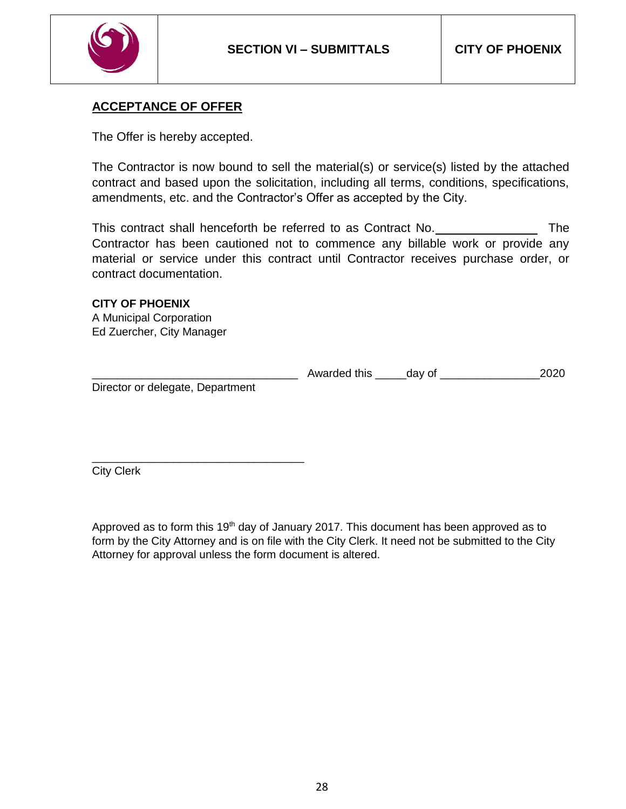

## **ACCEPTANCE OF OFFER**

The Offer is hereby accepted.

The Contractor is now bound to sell the material(s) or service(s) listed by the attached contract and based upon the solicitation, including all terms, conditions, specifications, amendments, etc. and the Contractor's Offer as accepted by the City.

This contract shall henceforth be referred to as Contract No. The Contractor has been cautioned not to commence any billable work or provide any material or service under this contract until Contractor receives purchase order, or contract documentation.

#### **CITY OF PHOENIX**

A Municipal Corporation Ed Zuercher, City Manager

\_\_\_\_\_\_\_\_\_\_\_\_\_\_\_\_\_\_\_\_\_\_\_\_\_\_\_\_\_\_\_\_\_ Awarded this \_\_\_\_\_day of \_\_\_\_\_\_\_\_\_\_\_\_\_\_\_\_2020

Director or delegate, Department

\_\_\_\_\_\_\_\_\_\_\_\_\_\_\_\_\_\_\_\_\_\_\_\_\_\_\_\_\_\_\_\_\_\_ City Clerk

Approved as to form this 19<sup>th</sup> day of January 2017. This document has been approved as to form by the City Attorney and is on file with the City Clerk. It need not be submitted to the City Attorney for approval unless the form document is altered.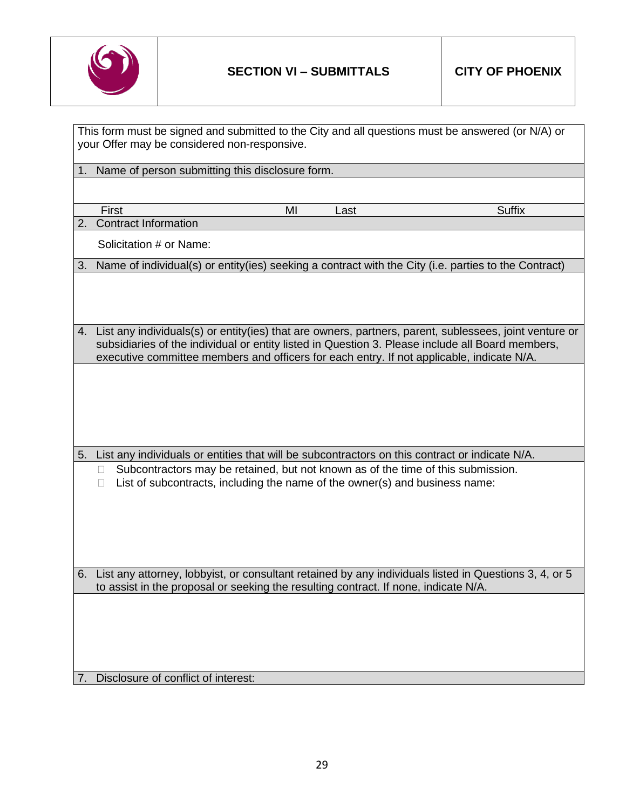

| This form must be signed and submitted to the City and all questions must be answered (or N/A) or<br>your Offer may be considered non-responsive. |                                                                                                                                                                                               |    |      |                                                                                                        |
|---------------------------------------------------------------------------------------------------------------------------------------------------|-----------------------------------------------------------------------------------------------------------------------------------------------------------------------------------------------|----|------|--------------------------------------------------------------------------------------------------------|
|                                                                                                                                                   | 1. Name of person submitting this disclosure form.                                                                                                                                            |    |      |                                                                                                        |
|                                                                                                                                                   |                                                                                                                                                                                               |    |      |                                                                                                        |
|                                                                                                                                                   | First                                                                                                                                                                                         | MI | Last | <b>Suffix</b>                                                                                          |
| 2.                                                                                                                                                | <b>Contract Information</b>                                                                                                                                                                   |    |      |                                                                                                        |
|                                                                                                                                                   | Solicitation # or Name:                                                                                                                                                                       |    |      |                                                                                                        |
| 3.                                                                                                                                                | Name of individual(s) or entity(ies) seeking a contract with the City (i.e. parties to the Contract)                                                                                          |    |      |                                                                                                        |
|                                                                                                                                                   |                                                                                                                                                                                               |    |      |                                                                                                        |
| 4.                                                                                                                                                | subsidiaries of the individual or entity listed in Question 3. Please include all Board members,<br>executive committee members and officers for each entry. If not applicable, indicate N/A. |    |      | List any individuals(s) or entity(ies) that are owners, partners, parent, sublessees, joint venture or |
|                                                                                                                                                   |                                                                                                                                                                                               |    |      |                                                                                                        |
| 5.                                                                                                                                                | List any individuals or entities that will be subcontractors on this contract or indicate N/A.                                                                                                |    |      |                                                                                                        |
|                                                                                                                                                   | Subcontractors may be retained, but not known as of the time of this submission.<br>$\Box$<br>List of subcontracts, including the name of the owner(s) and business name:                     |    |      |                                                                                                        |
| 6.                                                                                                                                                | to assist in the proposal or seeking the resulting contract. If none, indicate N/A.                                                                                                           |    |      | List any attorney, lobbyist, or consultant retained by any individuals listed in Questions 3, 4, or 5  |
| 7.                                                                                                                                                | Disclosure of conflict of interest:                                                                                                                                                           |    |      |                                                                                                        |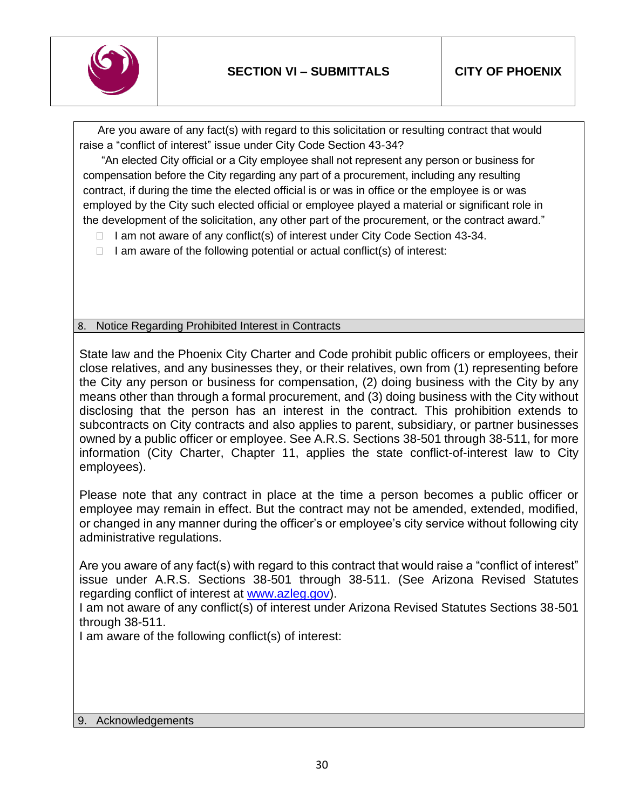

Are you aware of any fact(s) with regard to this solicitation or resulting contract that would raise a "conflict of interest" issue under City Code Section 43-34?

"An elected City official or a City employee shall not represent any person or business for compensation before the City regarding any part of a procurement, including any resulting contract, if during the time the elected official is or was in office or the employee is or was employed by the City such elected official or employee played a material or significant role in the development of the solicitation, any other part of the procurement, or the contract award."

□ I am not aware of any conflict(s) of interest under City Code Section 43-34.

 $\Box$  I am aware of the following potential or actual conflict(s) of interest:

#### 8. Notice Regarding Prohibited Interest in Contracts

State law and the Phoenix City Charter and Code prohibit public officers or employees, their close relatives, and any businesses they, or their relatives, own from (1) representing before the City any person or business for compensation, (2) doing business with the City by any means other than through a formal procurement, and (3) doing business with the City without disclosing that the person has an interest in the contract. This prohibition extends to subcontracts on City contracts and also applies to parent, subsidiary, or partner businesses owned by a public officer or employee. See A.R.S. Sections 38-501 through 38-511, for more information (City Charter, Chapter 11, applies the state conflict-of-interest law to City employees).

Please note that any contract in place at the time a person becomes a public officer or employee may remain in effect. But the contract may not be amended, extended, modified, or changed in any manner during the officer's or employee's city service without following city administrative regulations.

Are you aware of any fact(s) with regard to this contract that would raise a "conflict of interest" issue under A.R.S. Sections 38-501 through 38-511. (See Arizona Revised Statutes regarding conflict of interest at [www.azleg.gov\)](http://www.azleg.gov/).

I am not aware of any conflict(s) of interest under Arizona Revised Statutes Sections 38-501 through 38-511.

I am aware of the following conflict(s) of interest:

9. Acknowledgements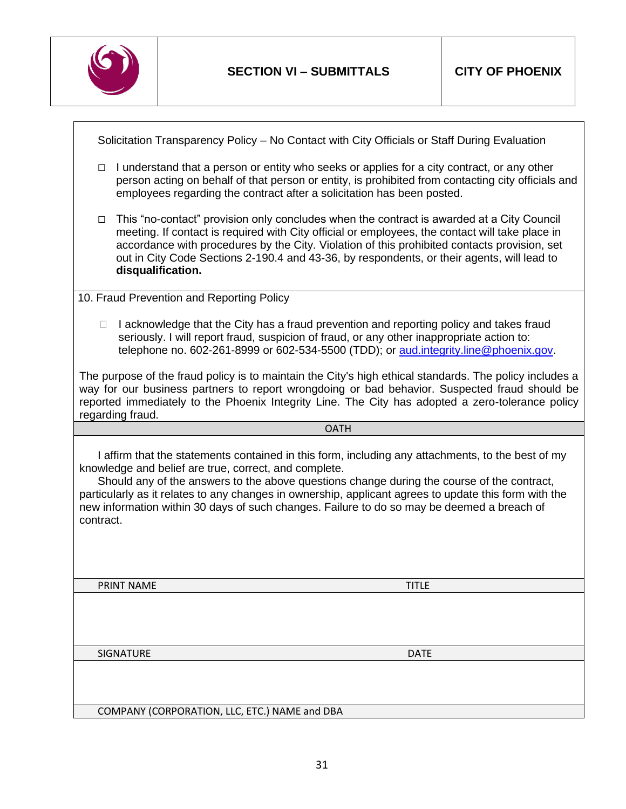

Solicitation Transparency Policy – No Contact with City Officials or Staff During Evaluation

- I understand that a person or entity who seeks or applies for a city contract, or any other person acting on behalf of that person or entity, is prohibited from contacting city officials and employees regarding the contract after a solicitation has been posted.
- □ This "no-contact" provision only concludes when the contract is awarded at a City Council meeting. If contact is required with City official or employees, the contact will take place in accordance with procedures by the City. Violation of this prohibited contacts provision, set out in City Code Sections 2-190.4 and 43-36, by respondents, or their agents, will lead to **disqualification.**

10. Fraud Prevention and Reporting Policy

 $\Box$  I acknowledge that the City has a fraud prevention and reporting policy and takes fraud seriously. I will report fraud, suspicion of fraud, or any other inappropriate action to: telephone no. 602-261-8999 or 602-534-5500 (TDD); or [aud.integrity.line@phoenix.gov.](mailto:aud.integrity.line@phoenix.gov)

The purpose of the fraud policy is to maintain the City's high ethical standards. The policy includes a way for our business partners to report wrongdoing or bad behavior. Suspected fraud should be reported immediately to the Phoenix Integrity Line. The City has adopted a zero-tolerance policy regarding fraud.

OATH

I affirm that the statements contained in this form, including any attachments, to the best of my knowledge and belief are true, correct, and complete.

Should any of the answers to the above questions change during the course of the contract, particularly as it relates to any changes in ownership, applicant agrees to update this form with the new information within 30 days of such changes. Failure to do so may be deemed a breach of contract.

PRINT NAME TITLE TO A RESERVE THE RESERVE TITLE TITLE TO A RESERVE THE RESERVE TITLE

SIGNATURE DATE DATE

COMPANY (CORPORATION, LLC, ETC.) NAME and DBA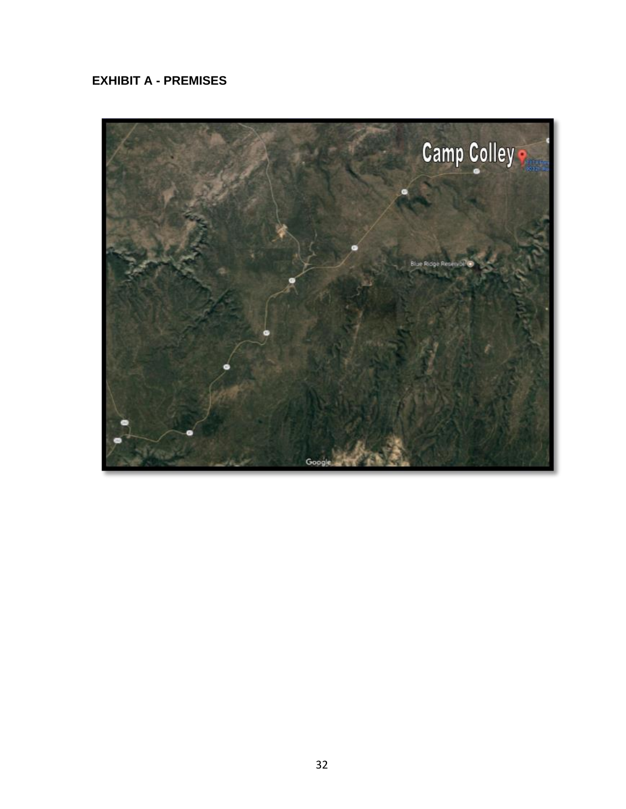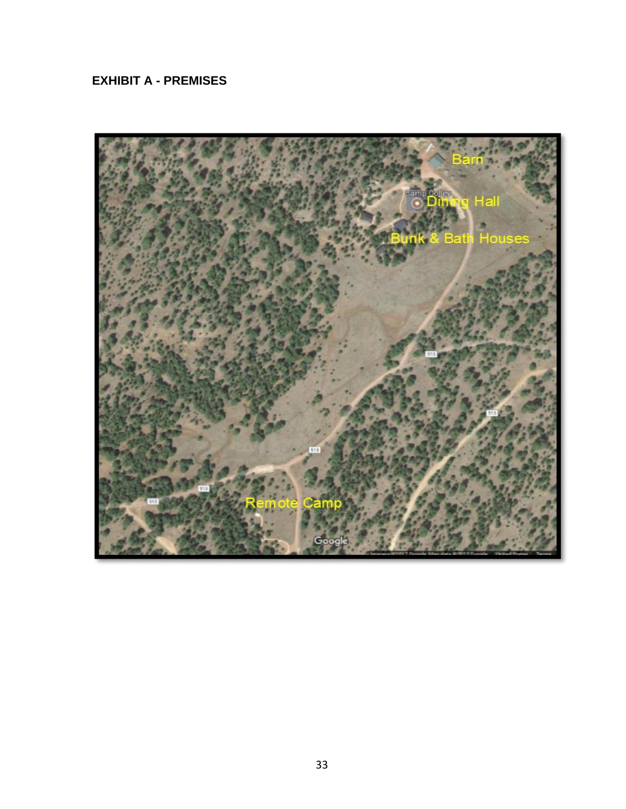